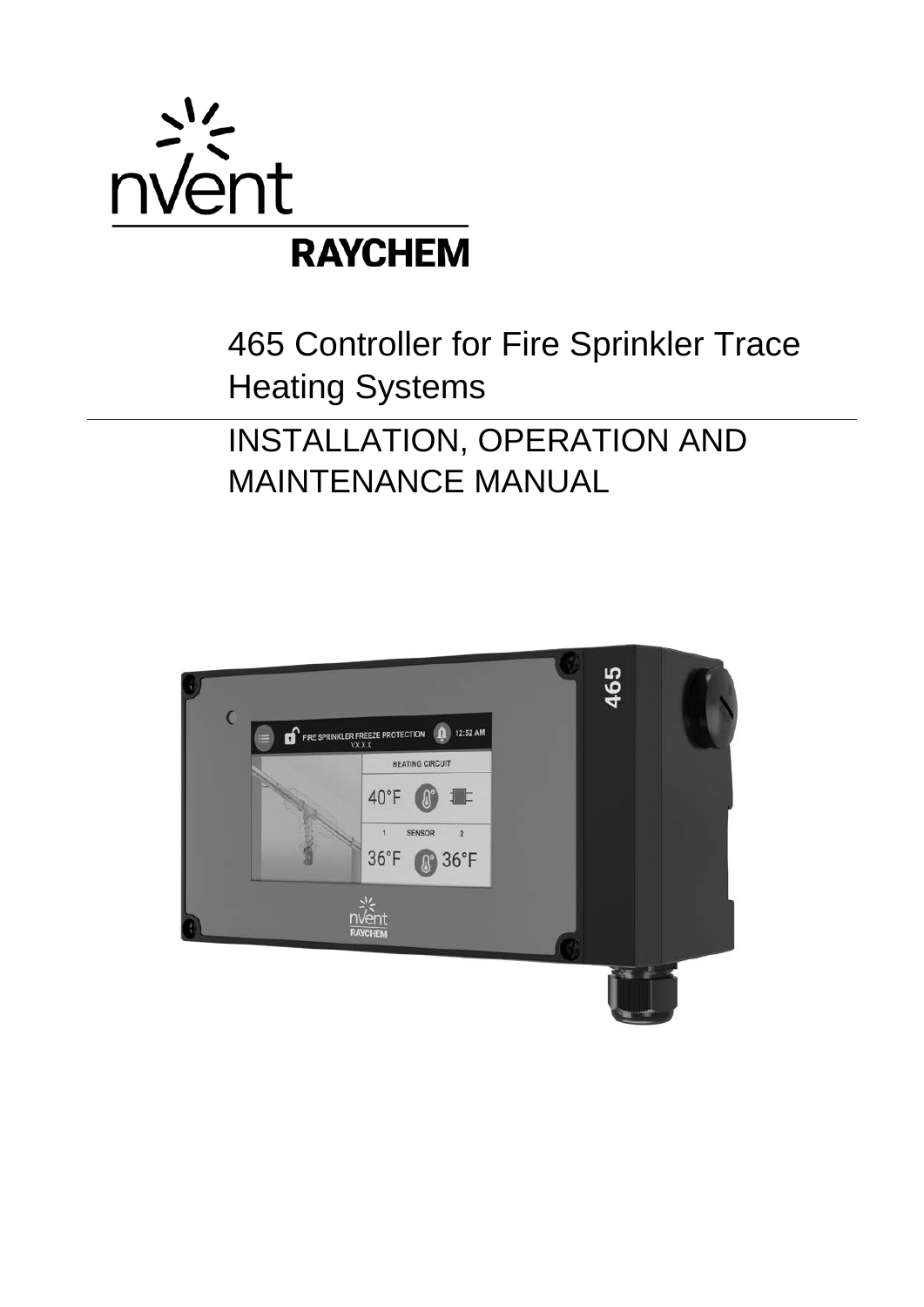

# 465 Controller for Fire Sprinkler Trace Heating Systems

# INSTALLATION, OPERATION AND MAINTENANCE MANUAL

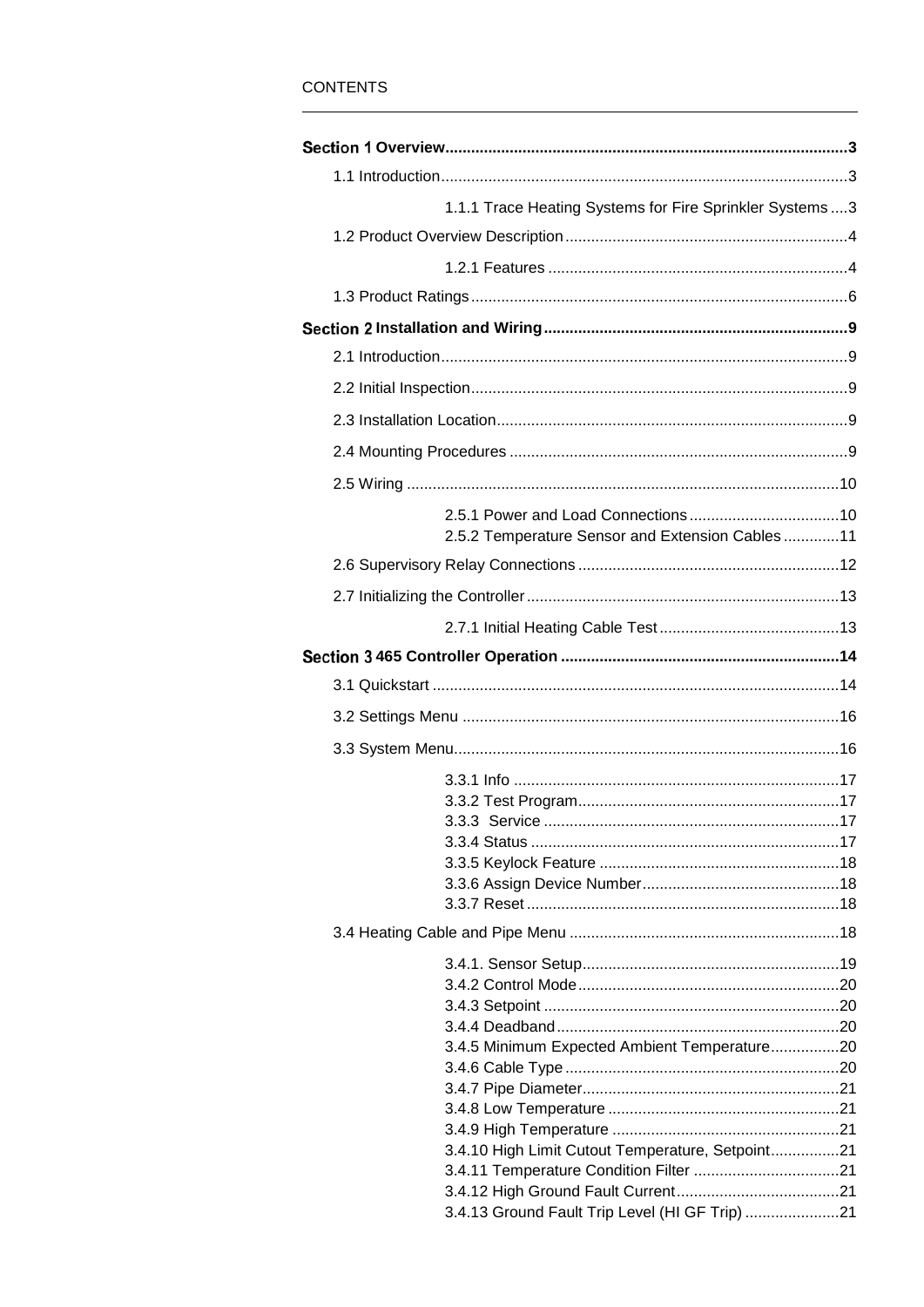# **CONTENTS**

| 1.1.1 Trace Heating Systems for Fire Sprinkler Systems  3 |  |
|-----------------------------------------------------------|--|
|                                                           |  |
|                                                           |  |
|                                                           |  |
|                                                           |  |
|                                                           |  |
|                                                           |  |
|                                                           |  |
|                                                           |  |
|                                                           |  |
|                                                           |  |
|                                                           |  |
| 2.5.2 Temperature Sensor and Extension Cables 11          |  |
|                                                           |  |
|                                                           |  |
|                                                           |  |
|                                                           |  |
|                                                           |  |
|                                                           |  |
|                                                           |  |
|                                                           |  |
|                                                           |  |
|                                                           |  |
|                                                           |  |
|                                                           |  |
|                                                           |  |
|                                                           |  |
|                                                           |  |
|                                                           |  |
|                                                           |  |
|                                                           |  |
|                                                           |  |
|                                                           |  |
| 3.4.5 Minimum Expected Ambient Temperature20              |  |
|                                                           |  |
|                                                           |  |
|                                                           |  |
| 3.4.10 High Limit Cutout Temperature, Setpoint21          |  |
|                                                           |  |
|                                                           |  |
| 3.4.13 Ground Fault Trip Level (HI GF Trip) 21            |  |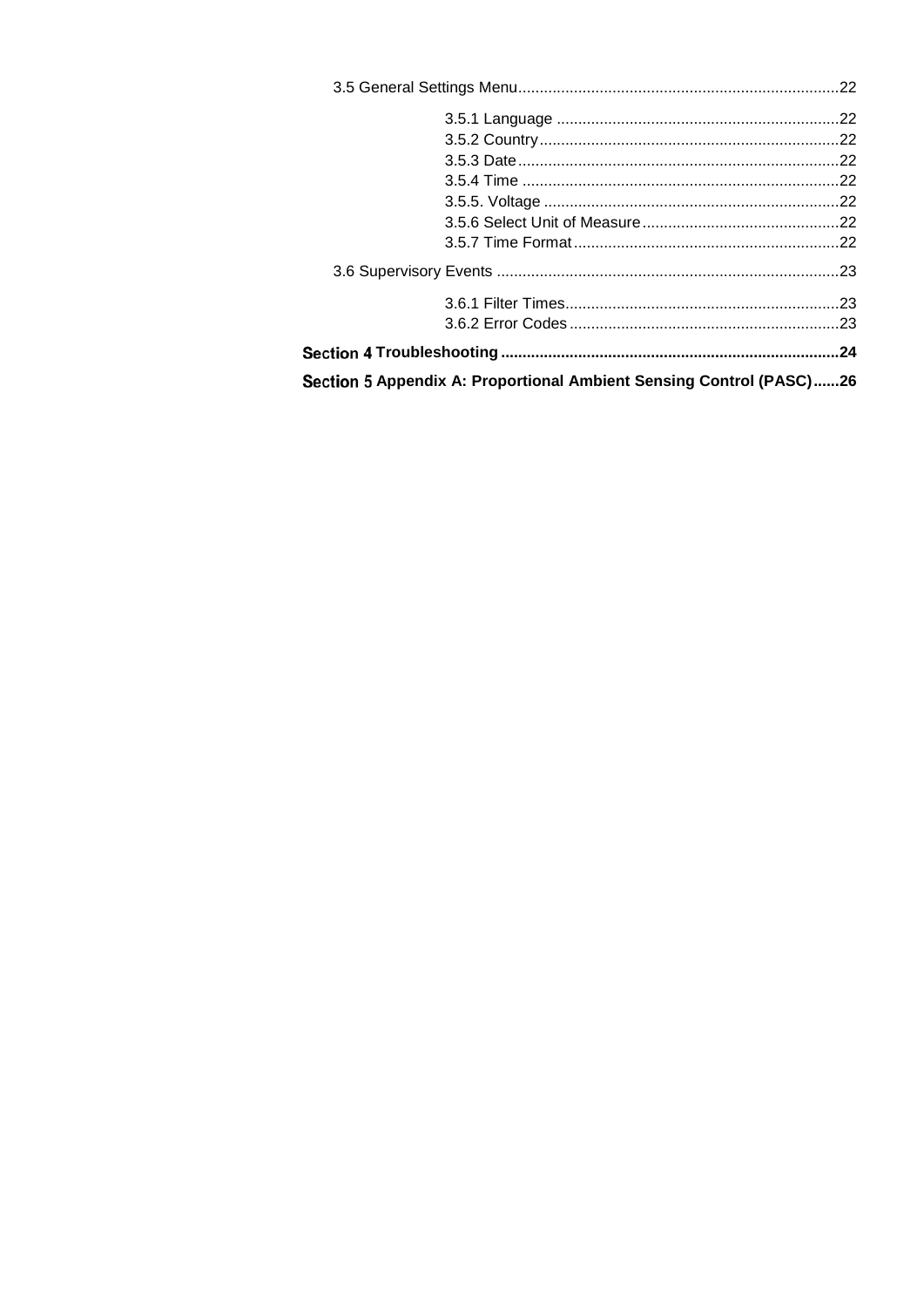| Section 5 Appendix A: Proportional Ambient Sensing Control (PASC)26 |  |  |
|---------------------------------------------------------------------|--|--|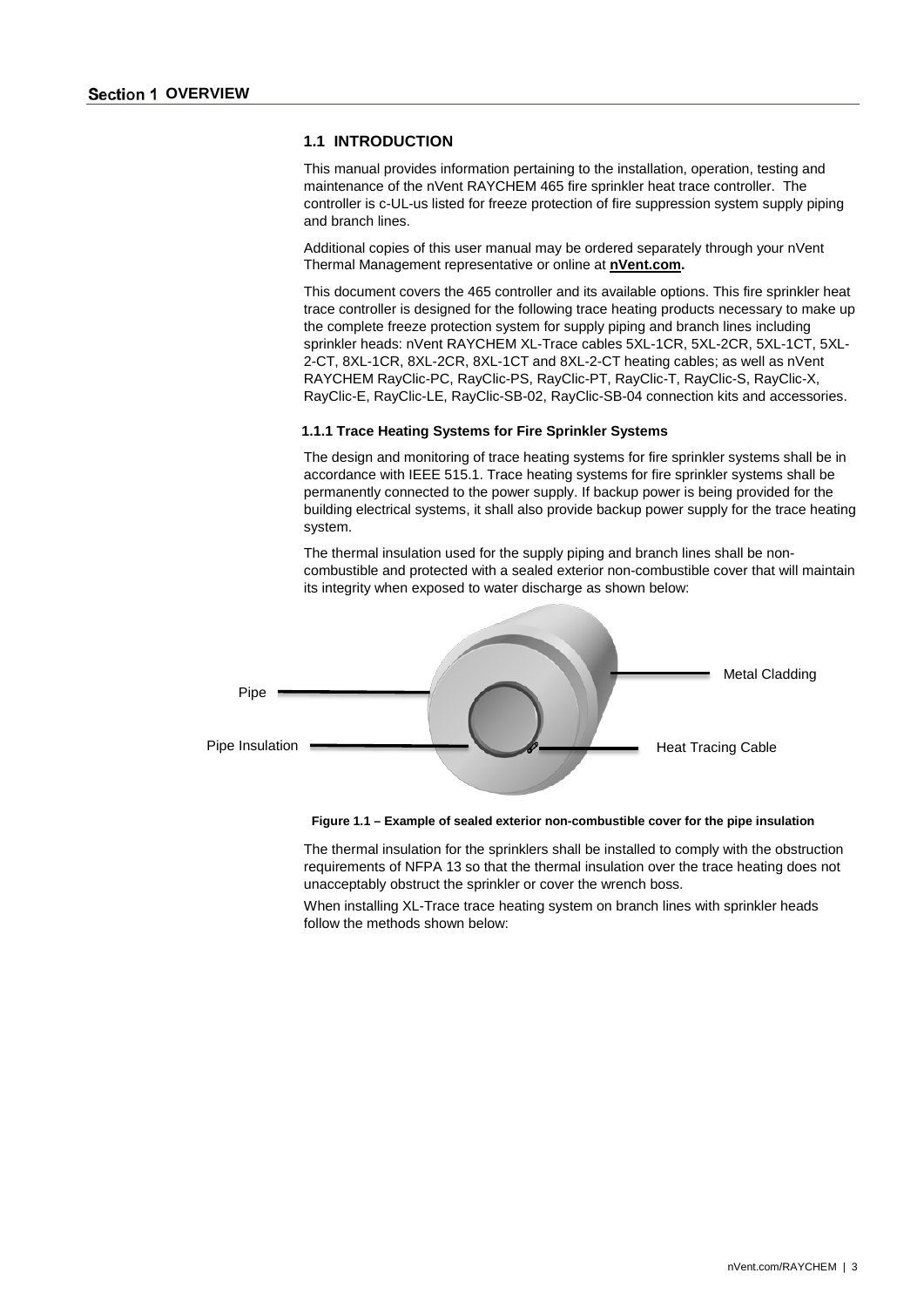#### <span id="page-3-1"></span><span id="page-3-0"></span>**1.1 INTRODUCTION**

This manual provides information pertaining to the installation, operation, testing and maintenance of the nVent RAYCHEM 465 fire sprinkler heat trace controller. The controller is c-UL-us listed for freeze protection of fire suppression system supply piping and branch lines.

Additional copies of this user manual may be ordered separately through your nVent Thermal Management representative or online at **[nVent.com.](http://www.nventthermal.com/)**

This document covers the 465 controller and its available options. This fire sprinkler heat trace controller is designed for the following trace heating products necessary to make up the complete freeze protection system for supply piping and branch lines including sprinkler heads: nVent RAYCHEM XL-Trace cables 5XL-1CR, 5XL-2CR, 5XL-1CT, 5XL-2-CT, 8XL-1CR, 8XL-2CR, 8XL-1CT and 8XL-2-CT heating cables; as well as nVent RAYCHEM RayClic-PC, RayClic-PS, RayClic-PT, RayClic-T, RayClic-S, RayClic-X, RayClic-E, RayClic-LE, RayClic-SB-02, RayClic-SB-04 connection kits and accessories.

#### <span id="page-3-2"></span>**1.1.1 Trace Heating Systems for Fire Sprinkler Systems**

The design and monitoring of trace heating systems for fire sprinkler systems shall be in accordance with IEEE 515.1. Trace heating systems for fire sprinkler systems shall be permanently connected to the power supply. If backup power is being provided for the building electrical systems, it shall also provide backup power supply for the trace heating system.

The thermal insulation used for the supply piping and branch lines shall be noncombustible and protected with a sealed exterior non-combustible cover that will maintain its integrity when exposed to water discharge as shown below:



**Figure 1.1 – Example of sealed exterior non-combustible cover for the pipe insulation**

The thermal insulation for the sprinklers shall be installed to comply with the obstruction requirements of NFPA 13 so that the thermal insulation over the trace heating does not unacceptably obstruct the sprinkler or cover the wrench boss.

When installing XL-Trace trace heating system on branch lines with sprinkler heads follow the methods shown below: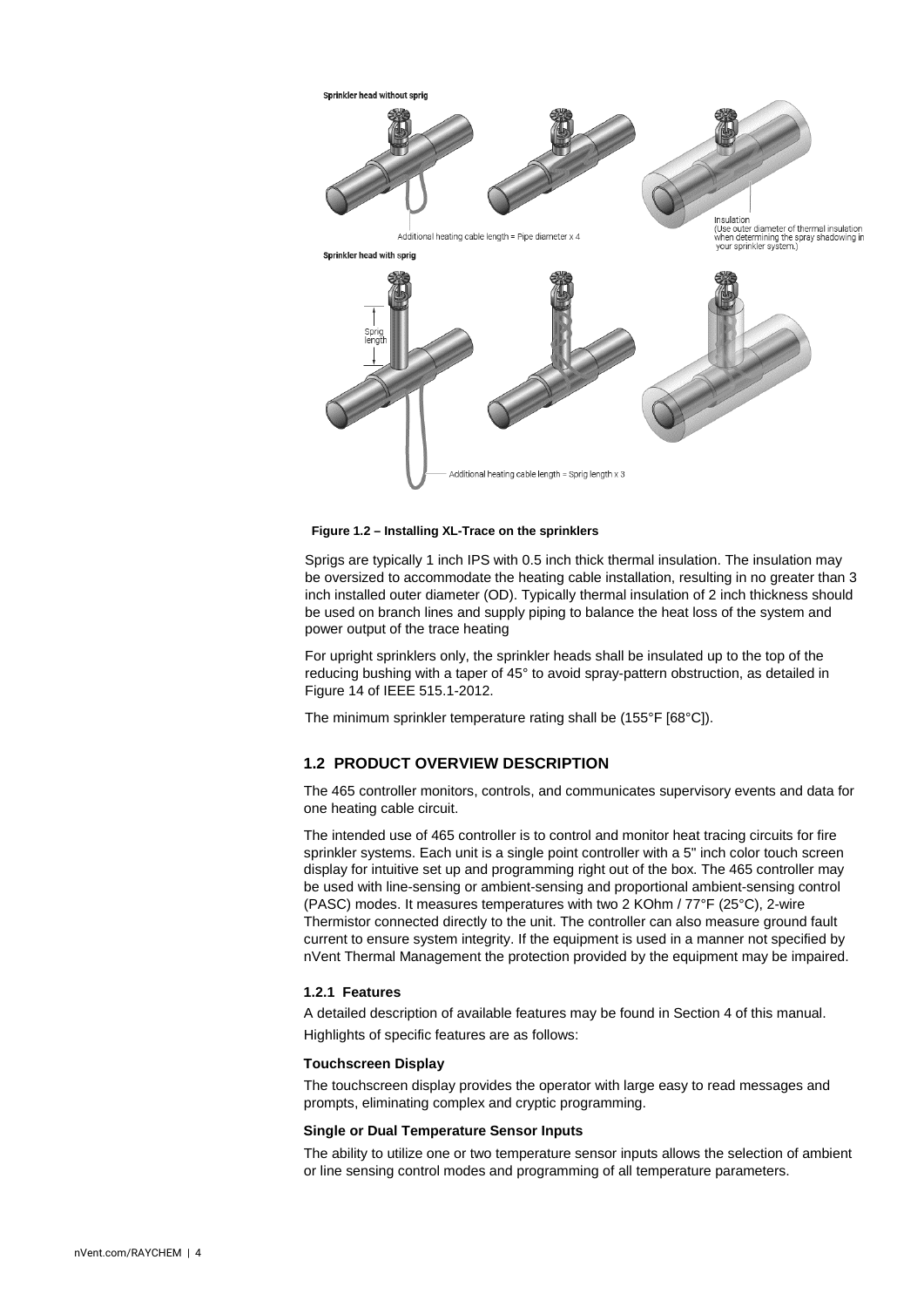

**Figure 1.2 – Installing XL-Trace on the sprinklers**

Sprigs are typically 1 inch IPS with 0.5 inch thick thermal insulation. The insulation may be oversized to accommodate the heating cable installation, resulting in no greater than 3 inch installed outer diameter (OD). Typically thermal insulation of 2 inch thickness should be used on branch lines and supply piping to balance the heat loss of the system and power output of the trace heating

For upright sprinklers only, the sprinkler heads shall be insulated up to the top of the reducing bushing with a taper of 45° to avoid spray-pattern obstruction, as detailed in Figure 14 of IEEE 515.1-2012.

The minimum sprinkler temperature rating shall be (155°F [68°C]).

## <span id="page-4-0"></span>**1.2 PRODUCT OVERVIEW DESCRIPTION**

The 465 controller monitors, controls, and communicates supervisory events and data for one heating cable circuit.

The intended use of 465 controller is to control and monitor heat tracing circuits for fire sprinkler systems. Each unit is a single point controller with a 5" inch color touch screen display for intuitive set up and programming right out of the box. The 465 controller may be used with line-sensing or ambient-sensing and proportional ambient-sensing control (PASC) modes. It measures temperatures with two 2 KOhm / 77°F (25°C), 2-wire Thermistor connected directly to the unit. The controller can also measure ground fault current to ensure system integrity. If the equipment is used in a manner not specified by nVent Thermal Management the protection provided by the equipment may be impaired.

#### <span id="page-4-1"></span>**1.2.1 Features**

A detailed description of available features may be found in Section 4 of this manual. Highlights of specific features are as follows:

#### **Touchscreen Display**

The touchscreen display provides the operator with large easy to read messages and prompts, eliminating complex and cryptic programming.

#### **Single or Dual Temperature Sensor Inputs**

The ability to utilize one or two temperature sensor inputs allows the selection of ambient or line sensing control modes and programming of all temperature parameters.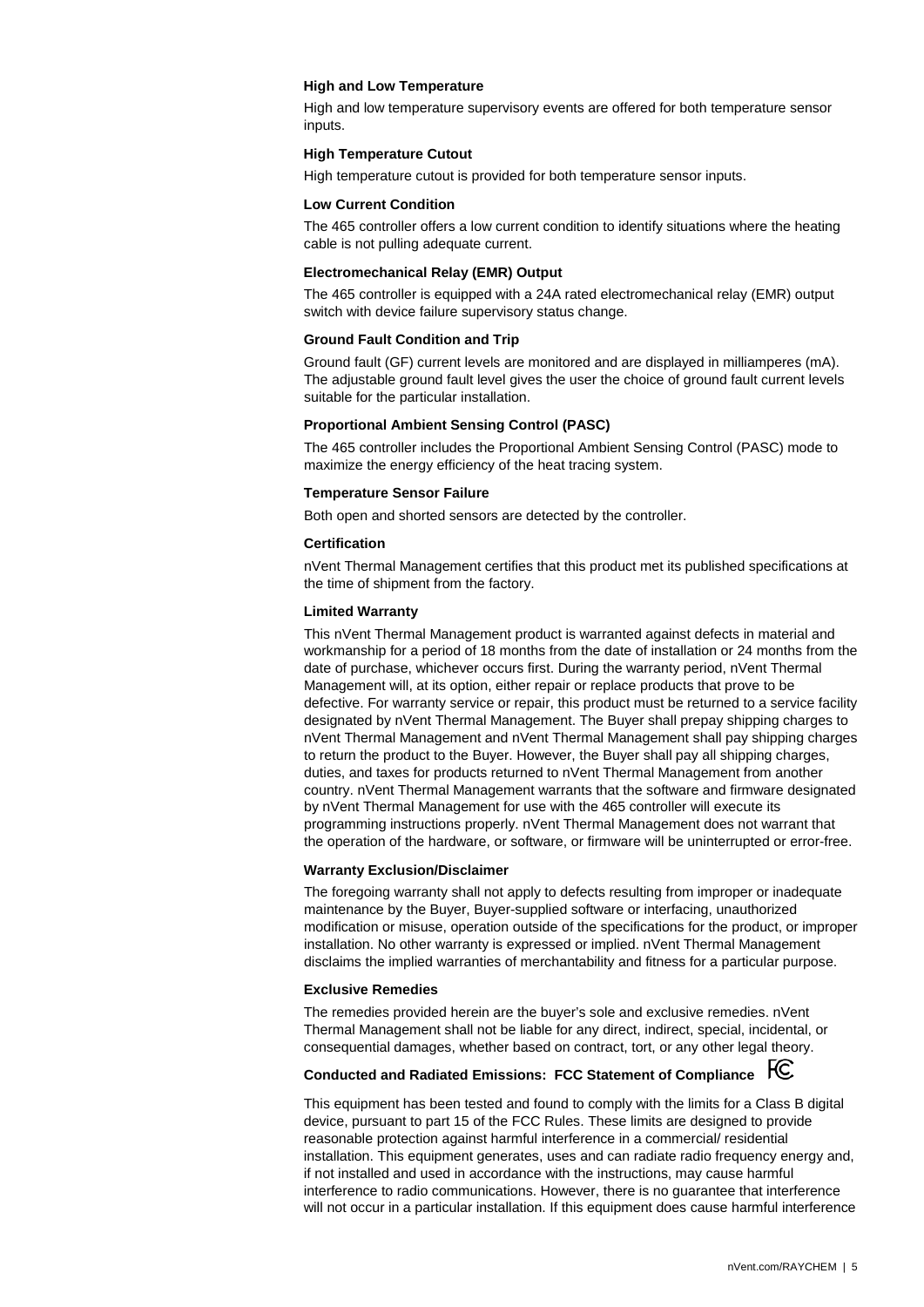#### **High and Low Temperature**

High and low temperature supervisory events are offered for both temperature sensor inputs.

#### **High Temperature Cutout**

High temperature cutout is provided for both temperature sensor inputs.

#### **Low Current Condition**

The 465 controller offers a low current condition to identify situations where the heating cable is not pulling adequate current.

#### **Electromechanical Relay (EMR) Output**

The 465 controller is equipped with a 24A rated electromechanical relay (EMR) output switch with device failure supervisory status change.

#### **Ground Fault Condition and Trip**

Ground fault (GF) current levels are monitored and are displayed in milliamperes (mA). The adjustable ground fault level gives the user the choice of ground fault current levels suitable for the particular installation.

#### **Proportional Ambient Sensing Control (PASC)**

The 465 controller includes the Proportional Ambient Sensing Control (PASC) mode to maximize the energy efficiency of the heat tracing system.

#### **Temperature Sensor Failure**

Both open and shorted sensors are detected by the controller.

#### **Certification**

nVent Thermal Management certifies that this product met its published specifications at the time of shipment from the factory.

#### **Limited Warranty**

This nVent Thermal Management product is warranted against defects in material and workmanship for a period of 18 months from the date of installation or 24 months from the date of purchase, whichever occurs first. During the warranty period, nVent Thermal Management will, at its option, either repair or replace products that prove to be defective. For warranty service or repair, this product must be returned to a service facility designated by nVent Thermal Management. The Buyer shall prepay shipping charges to nVent Thermal Management and nVent Thermal Management shall pay shipping charges to return the product to the Buyer. However, the Buyer shall pay all shipping charges, duties, and taxes for products returned to nVent Thermal Management from another country. nVent Thermal Management warrants that the software and firmware designated by nVent Thermal Management for use with the 465 controller will execute its programming instructions properly. nVent Thermal Management does not warrant that the operation of the hardware, or software, or firmware will be uninterrupted or error-free.

#### **Warranty Exclusion/Disclaimer**

The foregoing warranty shall not apply to defects resulting from improper or inadequate maintenance by the Buyer, Buyer-supplied software or interfacing, unauthorized modification or misuse, operation outside of the specifications for the product, or improper installation. No other warranty is expressed or implied. nVent Thermal Management disclaims the implied warranties of merchantability and fitness for a particular purpose.

#### **Exclusive Remedies**

The remedies provided herein are the buyer's sole and exclusive remedies. nVent Thermal Management shall not be liable for any direct, indirect, special, incidental, or consequential damages, whether based on contract, tort, or any other legal theory.

## **Conducted and Radiated Emissions: FCC Statement of Compliance**

This equipment has been tested and found to comply with the limits for a Class B digital device, pursuant to part 15 of the FCC Rules. These limits are designed to provide reasonable protection against harmful interference in a commercial/ residential installation. This equipment generates, uses and can radiate radio frequency energy and, if not installed and used in accordance with the instructions, may cause harmful interference to radio communications. However, there is no guarantee that interference will not occur in a particular installation. If this equipment does cause harmful interference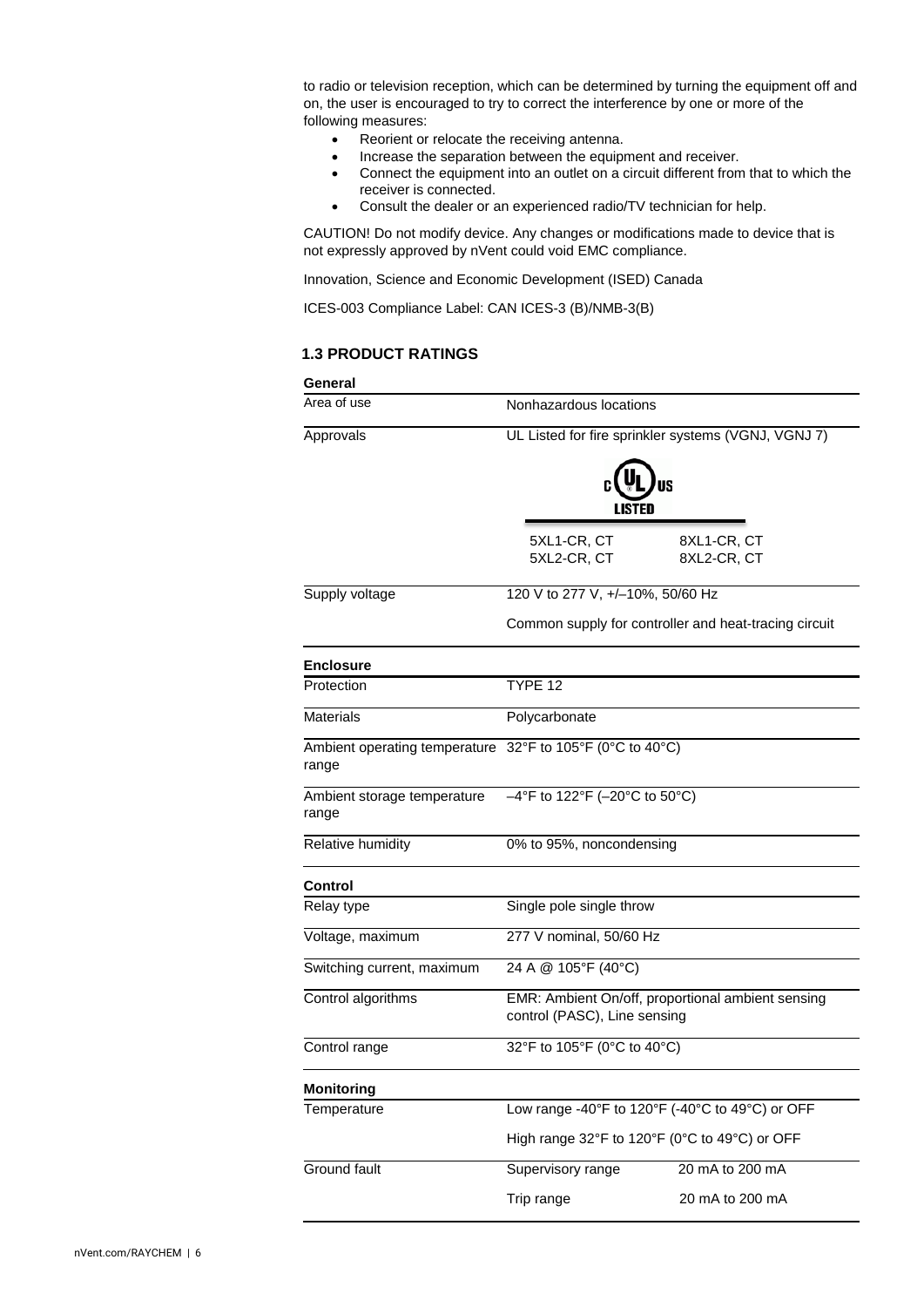to radio or television reception, which can be determined by turning the equipment off and on, the user is encouraged to try to correct the interference by one or more of the following measures:

- Reorient or relocate the receiving antenna.
- Increase the separation between the equipment and receiver.
- Connect the equipment into an outlet on a circuit different from that to which the receiver is connected.
- Consult the dealer or an experienced radio/TV technician for help.

CAUTION! Do not modify device. Any changes or modifications made to device that is not expressly approved by nVent could void EMC compliance.

Innovation, Science and Economic Development (ISED) Canada

<span id="page-6-0"></span>ICES-003 Compliance Label: CAN ICES-3 (B)/NMB-3(B)

## **1.3 PRODUCT RATINGS**

# **General**

| Area of use                            | Nonhazardous locations                                                            |                                                       |  |
|----------------------------------------|-----------------------------------------------------------------------------------|-------------------------------------------------------|--|
| Approvals                              | UL Listed for fire sprinkler systems (VGNJ, VGNJ 7)                               |                                                       |  |
|                                        |                                                                                   |                                                       |  |
|                                        | 5XL1-CR, CT<br>5XL2-CR, CT                                                        | 8XL1-CR, CT<br>8XL2-CR, CT                            |  |
| Supply voltage                         | 120 V to 277 V, +/-10%, 50/60 Hz                                                  |                                                       |  |
|                                        |                                                                                   | Common supply for controller and heat-tracing circuit |  |
| <b>Enclosure</b>                       |                                                                                   |                                                       |  |
| Protection                             | TYPE 12                                                                           |                                                       |  |
| <b>Materials</b>                       | Polycarbonate                                                                     |                                                       |  |
| Ambient operating temperature<br>range | 32°F to 105°F (0°C to 40°C)                                                       |                                                       |  |
| Ambient storage temperature<br>range   | $-4^{\circ}$ F to 122°F (-20°C to 50°C)                                           |                                                       |  |
| Relative humidity                      | 0% to 95%, noncondensing                                                          |                                                       |  |
| <b>Control</b>                         |                                                                                   |                                                       |  |
| Relay type                             | Single pole single throw                                                          |                                                       |  |
| Voltage, maximum                       | 277 V nominal, 50/60 Hz                                                           |                                                       |  |
| Switching current, maximum             | 24 A @ 105°F (40°C)                                                               |                                                       |  |
| Control algorithms                     | EMR: Ambient On/off, proportional ambient sensing<br>control (PASC), Line sensing |                                                       |  |
| Control range                          | 32°F to 105°F (0°C to 40°C)                                                       |                                                       |  |
| Monitorina                             |                                                                                   |                                                       |  |
| Temperature                            |                                                                                   | Low range -40°F to 120°F (-40°C to 49°C) or OFF       |  |
|                                        | High range 32°F to 120°F (0°C to 49°C) or OFF                                     |                                                       |  |
| Ground fault                           | Supervisory range                                                                 | 20 mA to 200 mA                                       |  |
|                                        | Trip range                                                                        | 20 mA to 200 mA                                       |  |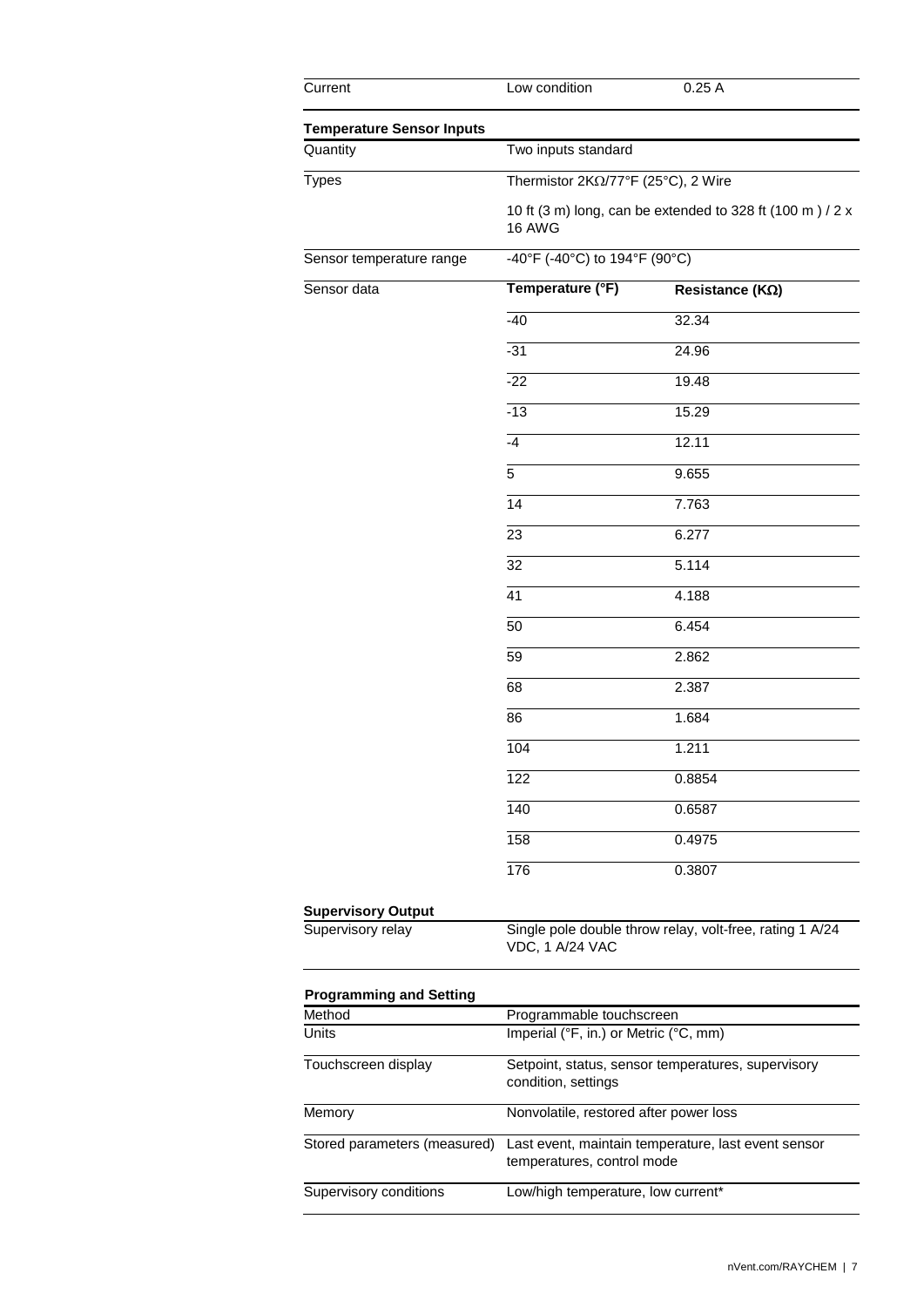| Current                                        | Low condition                          | 0.25A                                                     |
|------------------------------------------------|----------------------------------------|-----------------------------------------------------------|
| <b>Temperature Sensor Inputs</b>               |                                        |                                                           |
| Quantity                                       | Two inputs standard                    |                                                           |
| <b>Types</b>                                   | Thermistor 2ΚΩ/77°F (25°C), 2 Wire     |                                                           |
|                                                | 16 AWG                                 | 10 ft (3 m) long, can be extended to 328 ft (100 m) / 2 x |
| Sensor temperature range                       | -40°F (-40°C) to 194°F (90°C)          |                                                           |
| Sensor data                                    | Temperature (°F)                       | Resistance (KΩ)                                           |
|                                                | $-40$                                  | 32.34                                                     |
|                                                | $-31$                                  | 24.96                                                     |
|                                                | $-22$                                  | 19.48                                                     |
|                                                | $-13$                                  | 15.29                                                     |
|                                                | $-4$                                   | 12.11                                                     |
|                                                | 5                                      | 9.655                                                     |
|                                                | 14                                     | 7.763                                                     |
|                                                | 23                                     | 6.277                                                     |
|                                                | $\overline{32}$                        | 5.114                                                     |
|                                                | $\overline{41}$                        | 4.188                                                     |
|                                                | 50                                     | 6.454                                                     |
|                                                | 59                                     | 2.862                                                     |
|                                                | 68                                     | 2.387                                                     |
|                                                | 86                                     | 1.684                                                     |
|                                                | 104                                    | 1.211                                                     |
|                                                | 122                                    | 0.8854                                                    |
|                                                | $\overline{140}$                       | 0.6587                                                    |
|                                                | 158                                    | 0.4975                                                    |
|                                                | 176                                    | 0.3807                                                    |
|                                                |                                        |                                                           |
| <b>Supervisory Output</b><br>Supervisory relay | VDC, 1 A/24 VAC                        | Single pole double throw relay, volt-free, rating 1 A/24  |
| <b>Programming and Setting</b>                 |                                        |                                                           |
| Method                                         | Programmable touchscreen               |                                                           |
| Units                                          | Imperial (°F, in.) or Metric (°C, mm)  |                                                           |
| Touchscreen display                            | condition, settings                    | Setpoint, status, sensor temperatures, supervisory        |
| Memory                                         | Nonvolatile, restored after power loss |                                                           |
| Stored parameters (measured)                   | temperatures, control mode             | Last event, maintain temperature, last event sensor       |
| Supervisory conditions                         | Low/high temperature, low current*     |                                                           |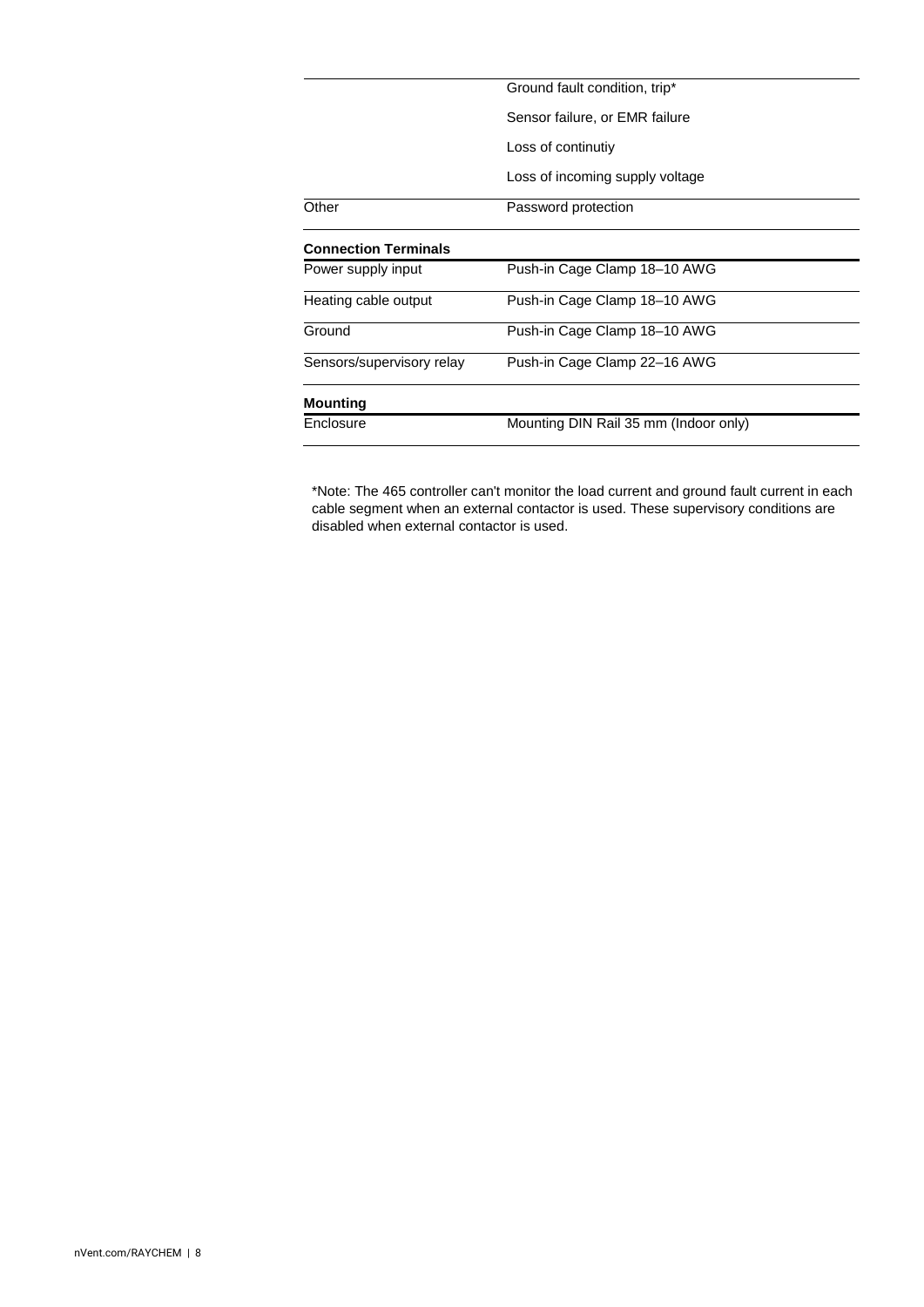|                             | Ground fault condition, trip*         |
|-----------------------------|---------------------------------------|
|                             | Sensor failure, or EMR failure        |
|                             | Loss of continutiy                    |
|                             | Loss of incoming supply voltage       |
| Other                       | Password protection                   |
| <b>Connection Terminals</b> |                                       |
| Power supply input          | Push-in Cage Clamp 18-10 AWG          |
| Heating cable output        | Push-in Cage Clamp 18-10 AWG          |
| Ground                      | Push-in Cage Clamp 18-10 AWG          |
| Sensors/supervisory relay   | Push-in Cage Clamp 22-16 AWG          |
| <b>Mounting</b>             |                                       |
| Enclosure                   | Mounting DIN Rail 35 mm (Indoor only) |

\*Note: The 465 controller can't monitor the load current and ground fault current in each cable segment when an external contactor is used. These supervisory conditions are disabled when external contactor is used.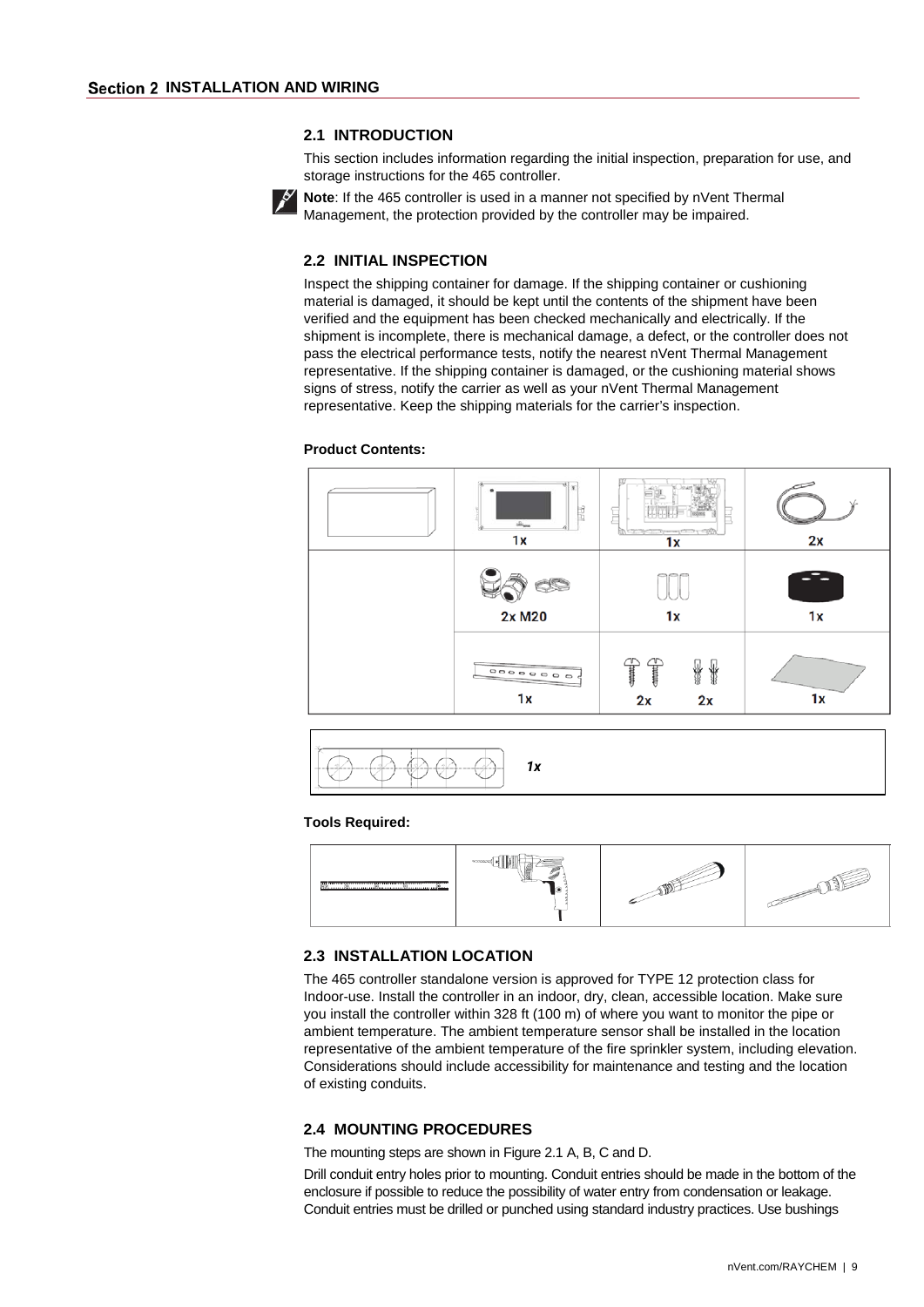### **2.1 INTRODUCTION**

This section includes information regarding the initial inspection, preparation for use, and storage instructions for the 465 controller.

<span id="page-9-2"></span><span id="page-9-1"></span><span id="page-9-0"></span>

**Note**: If the 465 controller is used in a manner not specified by nVent Thermal Management, the protection provided by the controller may be impaired.

### **2.2 INITIAL INSPECTION**

Inspect the shipping container for damage. If the shipping container or cushioning material is damaged, it should be kept until the contents of the shipment have been verified and the equipment has been checked mechanically and electrically. If the shipment is incomplete, there is mechanical damage, a defect, or the controller does not pass the electrical performance tests, notify the nearest nVent Thermal Management representative. If the shipping container is damaged, or the cushioning material shows signs of stress, notify the carrier as well as your nVent Thermal Management representative. Keep the shipping materials for the carrier's inspection.

### **Product Contents:**





#### **Tools Required:**



#### <span id="page-9-3"></span>**2.3 INSTALLATION LOCATION**

The 465 controller standalone version is approved for TYPE 12 protection class for Indoor-use. Install the controller in an indoor, dry, clean, accessible location. Make sure you install the controller within 328 ft (100 m) of where you want to monitor the pipe or ambient temperature. The ambient temperature sensor shall be installed in the location representative of the ambient temperature of the fire sprinkler system, including elevation. Considerations should include accessibility for maintenance and testing and the location of existing conduits.

## <span id="page-9-4"></span>**2.4 MOUNTING PROCEDURES**

The mounting steps are shown in Figure 2.1 A, B, C and D.

Drill conduit entry holes prior to mounting. Conduit entries should be made in the bottom of the enclosure if possible to reduce the possibility of water entry from condensation or leakage. Conduit entries must be drilled or punched using standard industry practices. Use bushings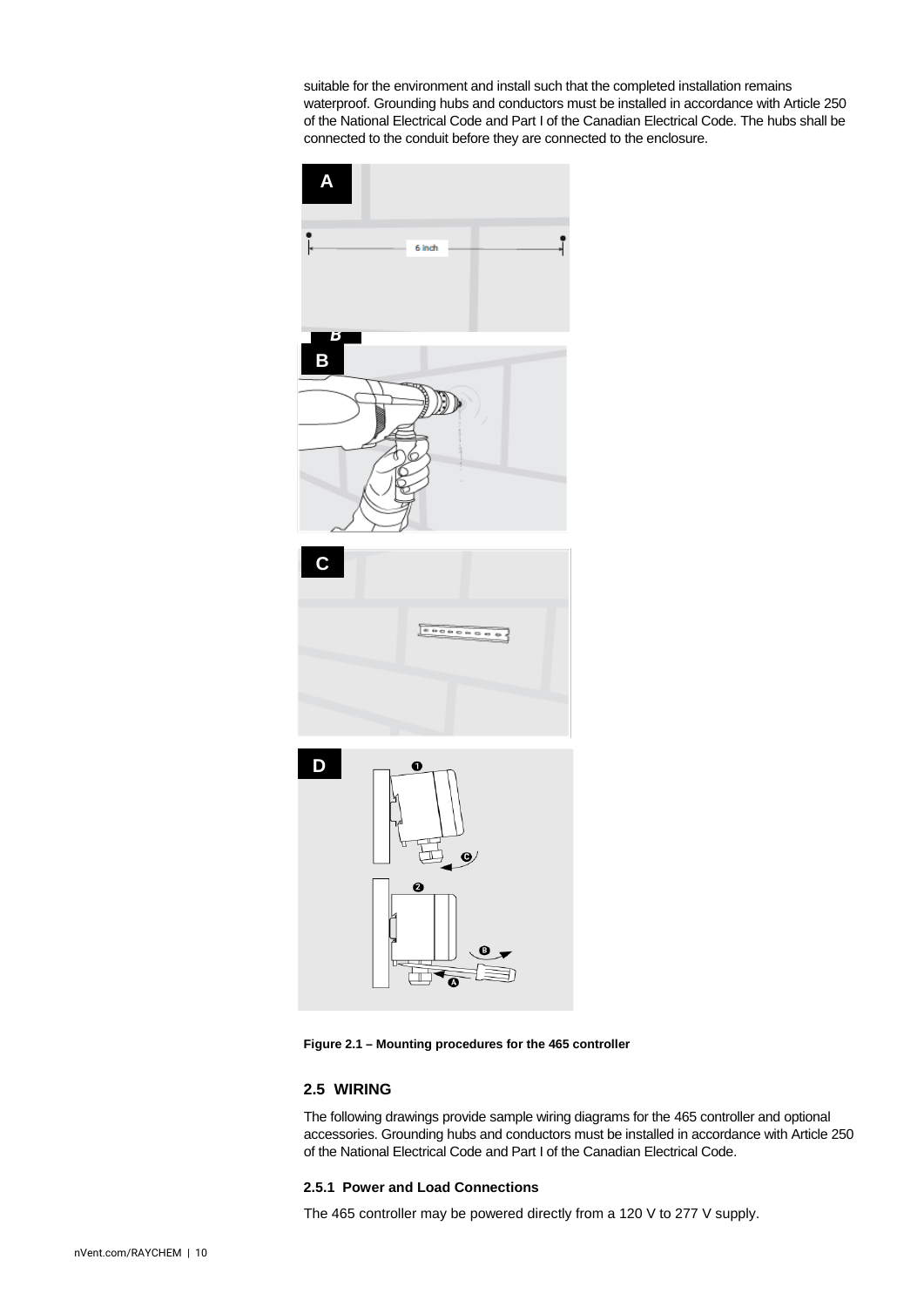suitable for the environment and install such that the completed installation remains waterproof. Grounding hubs and conductors must be installed in accordance with Article 250 of the National Electrical Code and Part I of the Canadian Electrical Code. The hubs shall be connected to the conduit before they are connected to the enclosure.



**Figure 2.1 – Mounting procedures for the 465 controller**

## <span id="page-10-0"></span>**2.5 WIRING**

The following drawings provide sample wiring diagrams for the 465 controller and optional accessories. Grounding hubs and conductors must be installed in accordance with Article 250 of the National Electrical Code and Part I of the Canadian Electrical Code.

#### <span id="page-10-1"></span>**2.5.1 Power and Load Connections**

The 465 controller may be powered directly from a 120 V to 277 V supply.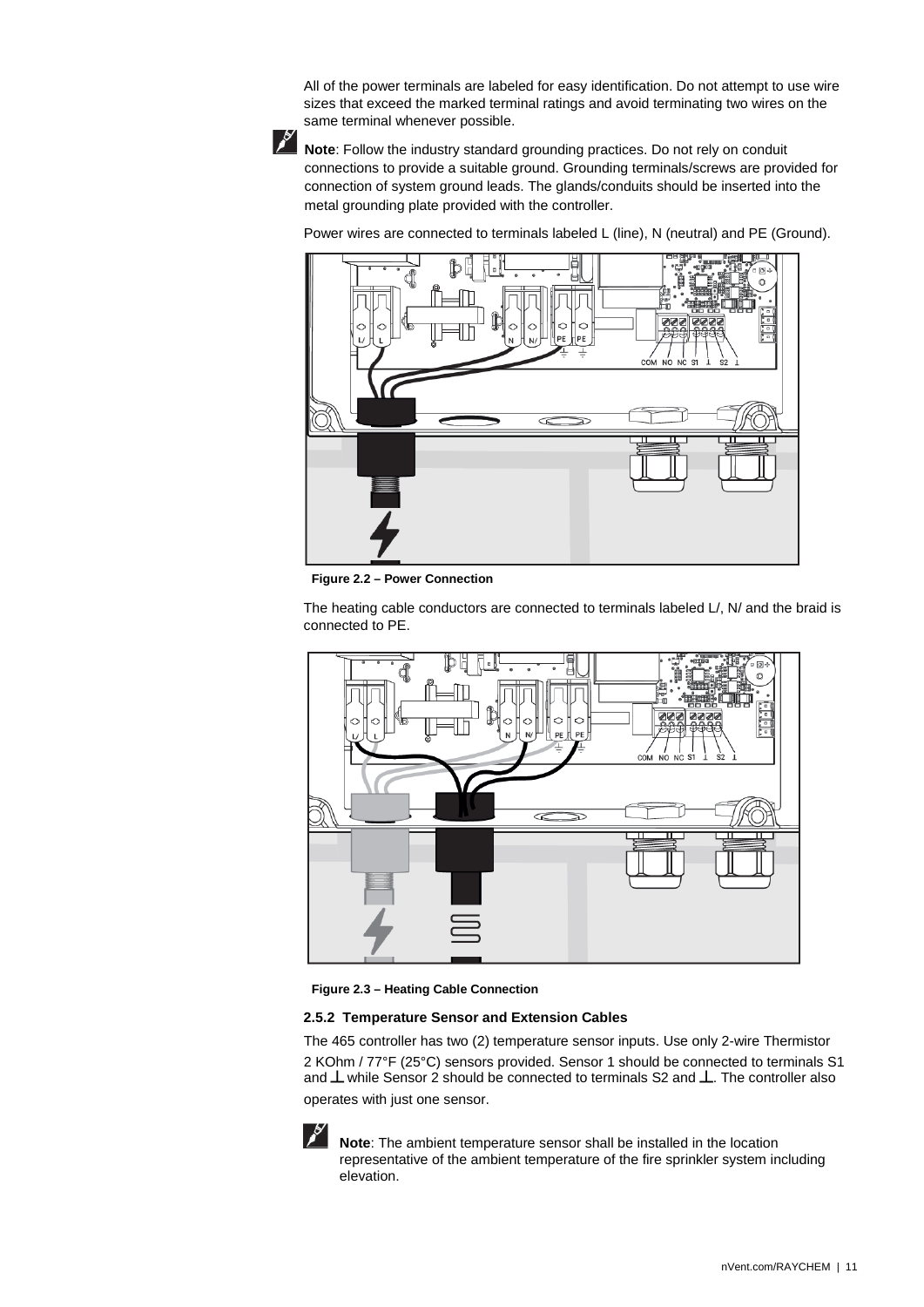All of the power terminals are labeled for easy identification. Do not attempt to use wire sizes that exceed the marked terminal ratings and avoid terminating two wires on the same terminal whenever possible.



**Note**: Follow the industry standard grounding practices. Do not rely on conduit connections to provide a suitable ground. Grounding terminals/screws are provided for connection of system ground leads. The glands/conduits should be inserted into the metal grounding plate provided with the controller.

Power wires are connected to terminals labeled L (line), N (neutral) and PE (Ground).



**Figure 2.2 – Power Connection**

The heating cable conductors are connected to terminals labeled L/, N/ and the braid is connected to PE.



**Figure 2.3 – Heating Cable Connection**

#### <span id="page-11-0"></span>**2.5.2 Temperature Sensor and Extension Cables**

The 465 controller has two (2) temperature sensor inputs. Use only 2-wire Thermistor 2 KOhm / 77°F (25°C) sensors provided. Sensor 1 should be connected to terminals S1 and  $\perp$  while Sensor 2 should be connected to terminals S2 and  $\perp$ . The controller also operates with just one sensor.



**Note**: The ambient temperature sensor shall be installed in the location representative of the ambient temperature of the fire sprinkler system including elevation.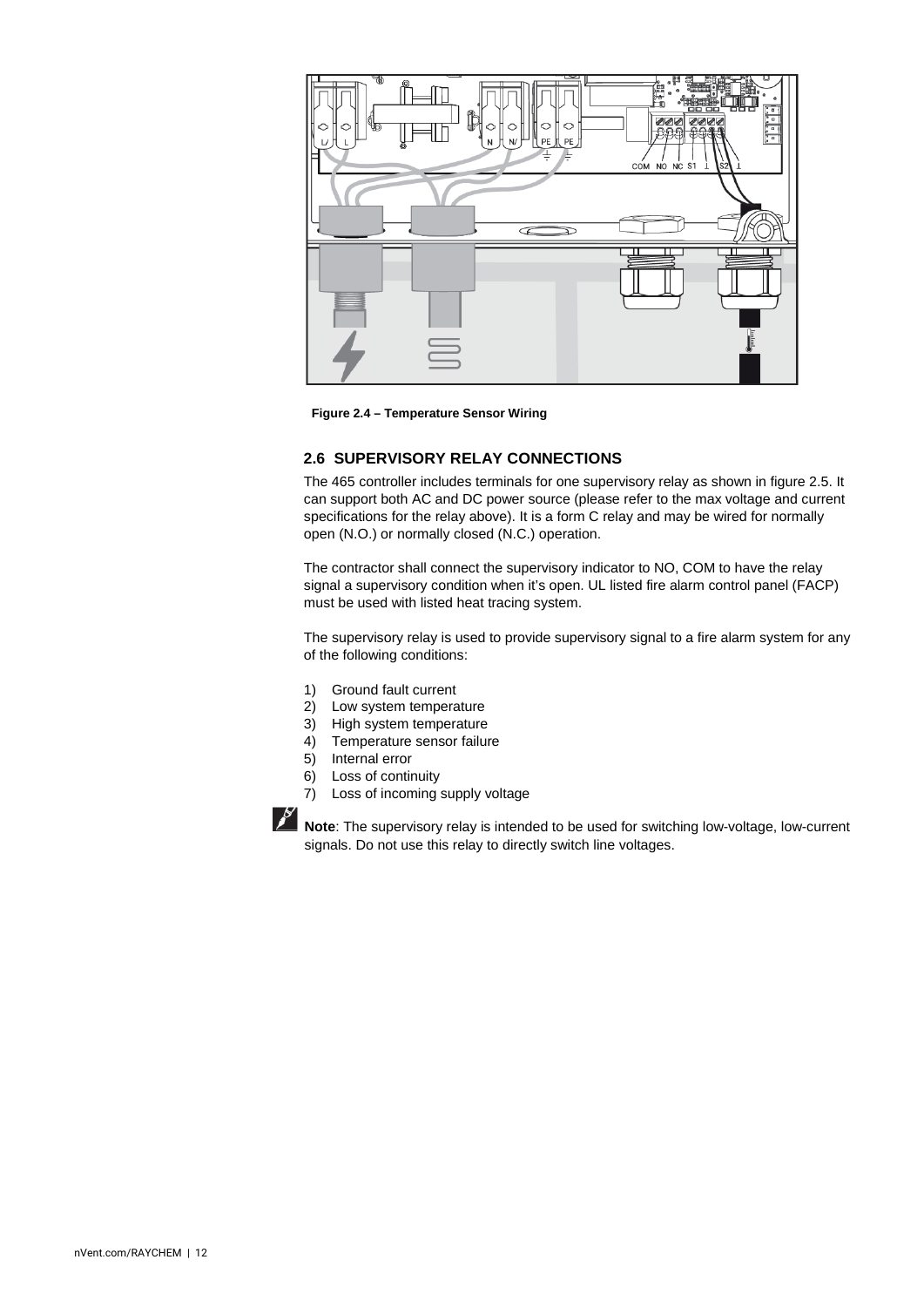

**Figure 2.4 – Temperature Sensor Wiring**

## <span id="page-12-0"></span>**2.6 SUPERVISORY RELAY CONNECTIONS**

The 465 controller includes terminals for one supervisory relay as shown in figure 2.5. It can support both AC and DC power source (please refer to the max voltage and current specifications for the relay above). It is a form C relay and may be wired for normally open (N.O.) or normally closed (N.C.) operation.

The contractor shall connect the supervisory indicator to NO, COM to have the relay signal a supervisory condition when it's open. UL listed fire alarm control panel (FACP) must be used with listed heat tracing system.

The supervisory relay is used to provide supervisory signal to a fire alarm system for any of the following conditions:

- 1) Ground fault current
- 2) Low system temperature<br>3) High system temperature
- High system temperature
- 4) Temperature sensor failure
- 5) Internal error
- 6) Loss of continuity<br>7) Loss of incoming
- Loss of incoming supply voltage



**Note**: The supervisory relay is intended to be used for switching low-voltage, low-current signals. Do not use this relay to directly switch line voltages.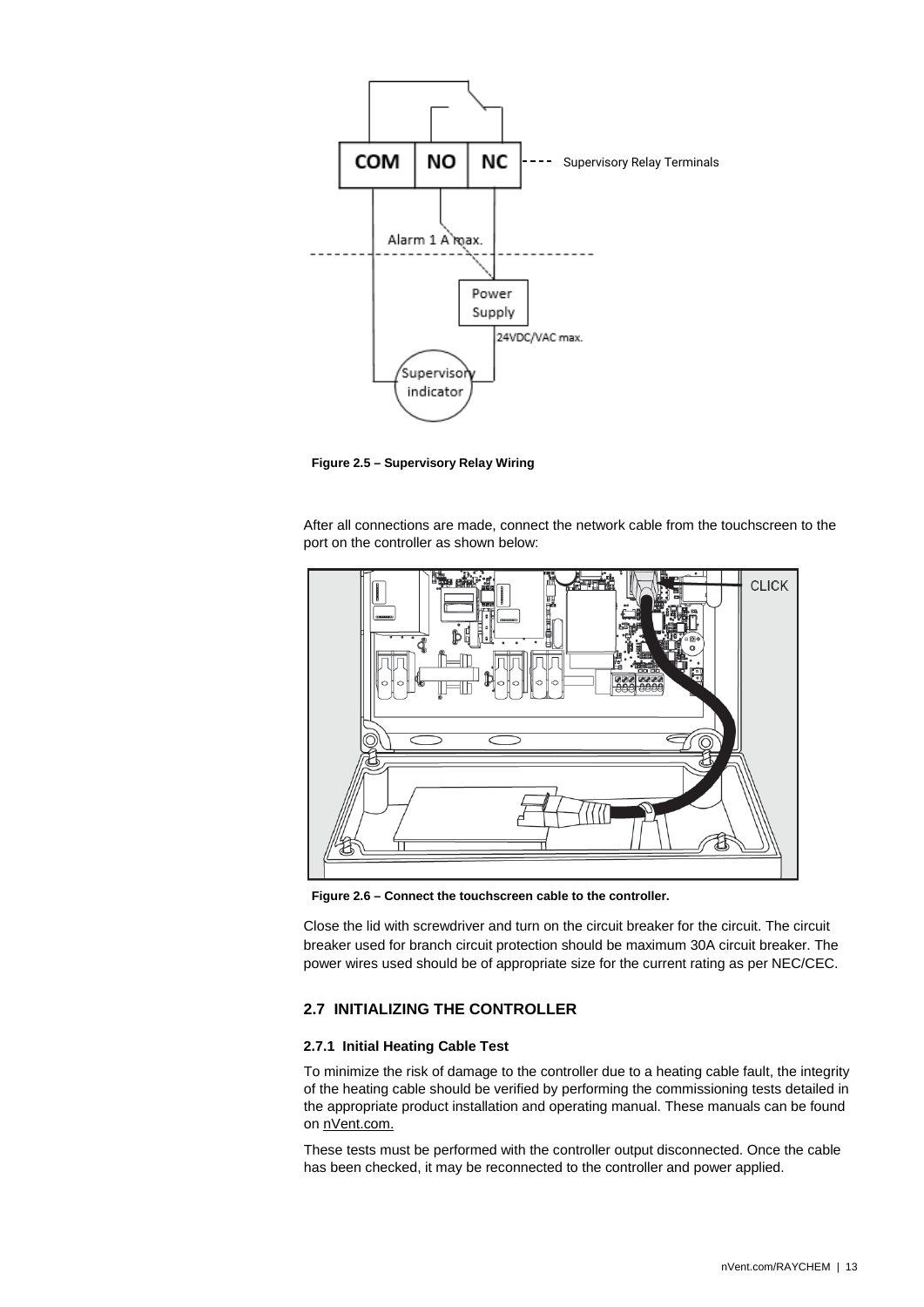

**Figure 2.5 – Supervisory Relay Wiring**

After all connections are made, connect the network cable from the touchscreen to the port on the controller as shown below:



**Figure 2.6 – Connect the touchscreen cable to the controller.** 

Close the lid with screwdriver and turn on the circuit breaker for the circuit. The circuit breaker used for branch circuit protection should be maximum 30A circuit breaker. The power wires used should be of appropriate size for the current rating as per NEC/CEC.

## <span id="page-13-0"></span>**2.7 INITIALIZING THE CONTROLLER**

#### <span id="page-13-1"></span>**2.7.1 Initial Heating Cable Test**

To minimize the risk of damage to the controller due to a heating cable fault, the integrity of the heating cable should be verified by performing the commissioning tests detailed in the appropriate product installation and operating manual. These manuals can be found on [nVent.com.](http://www.nventthermal.com/)

These tests must be performed with the controller output disconnected. Once the cable has been checked, it may be reconnected to the controller and power applied.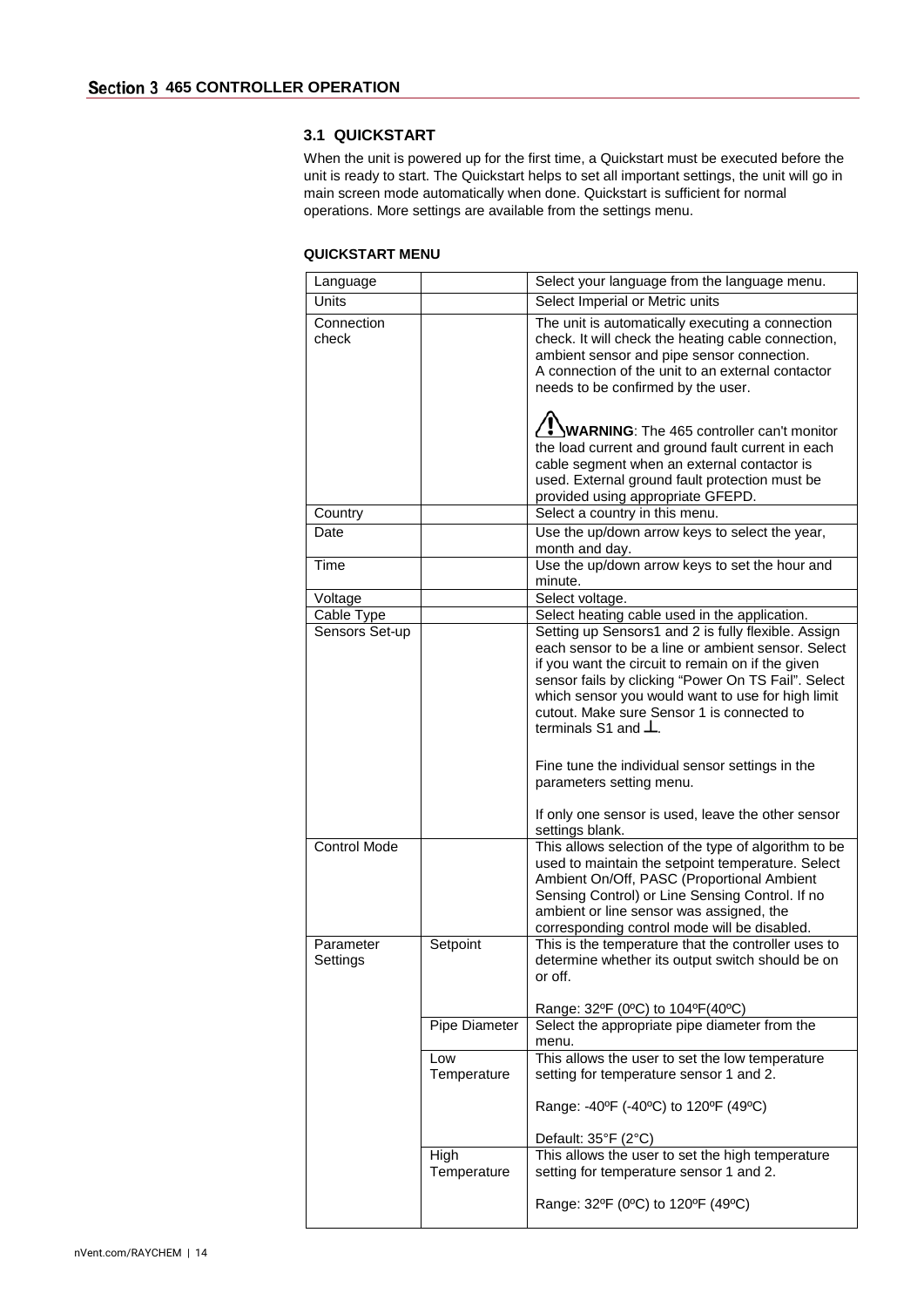## <span id="page-14-1"></span><span id="page-14-0"></span>**3.1 QUICKSTART**

When the unit is powered up for the first time, a Quickstart must be executed before the unit is ready to start. The Quickstart helps to set all important settings, the unit will go in main screen mode automatically when done. Quickstart is sufficient for normal operations. More settings are available from the settings menu.

## **QUICKSTART MENU**

| Language              |                     | Select your language from the language menu.                                                                                                                                                                                                                                                                                                           |
|-----------------------|---------------------|--------------------------------------------------------------------------------------------------------------------------------------------------------------------------------------------------------------------------------------------------------------------------------------------------------------------------------------------------------|
| Units                 |                     | Select Imperial or Metric units                                                                                                                                                                                                                                                                                                                        |
| Connection<br>check   |                     | The unit is automatically executing a connection<br>check. It will check the heating cable connection,<br>ambient sensor and pipe sensor connection.<br>A connection of the unit to an external contactor<br>needs to be confirmed by the user.                                                                                                        |
|                       |                     | $\langle$ . WARNING: The 465 controller can't monitor<br>the load current and ground fault current in each<br>cable segment when an external contactor is<br>used. External ground fault protection must be<br>provided using appropriate GFEPD.                                                                                                       |
| Country               |                     | Select a country in this menu.                                                                                                                                                                                                                                                                                                                         |
| Date                  |                     | Use the up/down arrow keys to select the year,<br>month and day.                                                                                                                                                                                                                                                                                       |
| Time                  |                     | Use the up/down arrow keys to set the hour and<br>minute.                                                                                                                                                                                                                                                                                              |
| Voltage               |                     | Select voltage.                                                                                                                                                                                                                                                                                                                                        |
| Cable Type            |                     | Select heating cable used in the application.                                                                                                                                                                                                                                                                                                          |
| Sensors Set-up        |                     | Setting up Sensors1 and 2 is fully flexible. Assign<br>each sensor to be a line or ambient sensor. Select<br>if you want the circuit to remain on if the given<br>sensor fails by clicking "Power On TS Fail". Select<br>which sensor you would want to use for high limit<br>cutout. Make sure Sensor 1 is connected to<br>terminals S1 and $\perp$ . |
|                       |                     | Fine tune the individual sensor settings in the<br>parameters setting menu.                                                                                                                                                                                                                                                                            |
|                       |                     | If only one sensor is used, leave the other sensor<br>settings blank.                                                                                                                                                                                                                                                                                  |
| <b>Control Mode</b>   |                     | This allows selection of the type of algorithm to be<br>used to maintain the setpoint temperature. Select<br>Ambient On/Off, PASC (Proportional Ambient<br>Sensing Control) or Line Sensing Control. If no<br>ambient or line sensor was assigned, the<br>corresponding control mode will be disabled.                                                 |
| Parameter<br>Settings | Setpoint            | This is the temperature that the controller uses to<br>determine whether its output switch should be on<br>or off.<br>Range: 32°F (0°C) to 104°F(40°C)                                                                                                                                                                                                 |
|                       | Pipe Diameter       | Select the appropriate pipe diameter from the<br>menu.                                                                                                                                                                                                                                                                                                 |
|                       | Low<br>Temperature  | This allows the user to set the low temperature<br>setting for temperature sensor 1 and 2.                                                                                                                                                                                                                                                             |
|                       |                     | Range: -40°F (-40°C) to 120°F (49°C)                                                                                                                                                                                                                                                                                                                   |
|                       |                     | Default: 35°F (2°C)                                                                                                                                                                                                                                                                                                                                    |
|                       | High<br>Temperature | This allows the user to set the high temperature<br>setting for temperature sensor 1 and 2.                                                                                                                                                                                                                                                            |
|                       |                     | Range: 32°F (0°C) to 120°F (49°C)                                                                                                                                                                                                                                                                                                                      |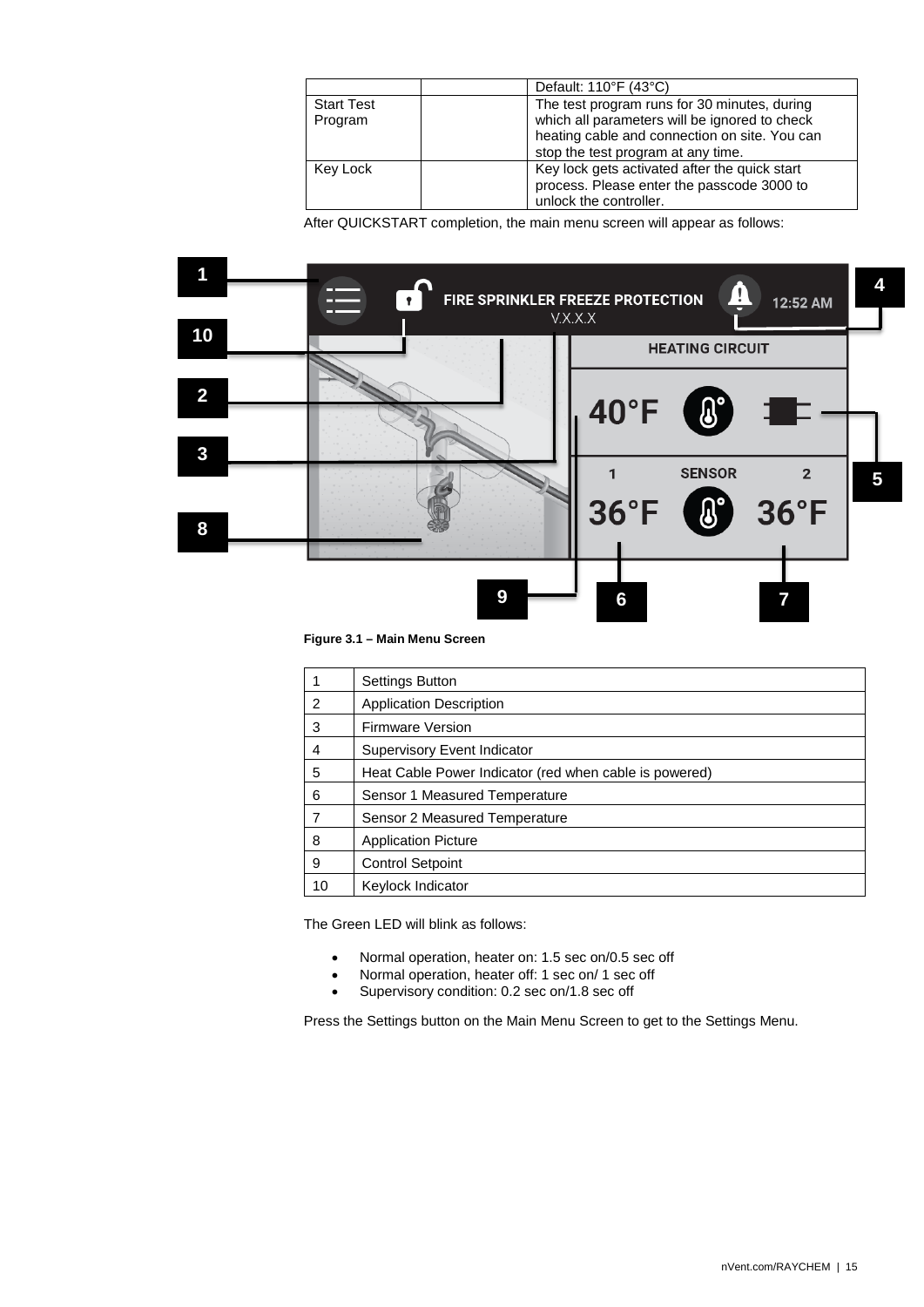|                              | Default: 110°F (43°C)                                                                                                                                                                |
|------------------------------|--------------------------------------------------------------------------------------------------------------------------------------------------------------------------------------|
| <b>Start Test</b><br>Program | The test program runs for 30 minutes, during<br>which all parameters will be ignored to check<br>heating cable and connection on site. You can<br>stop the test program at any time. |
| Key Lock                     | Key lock gets activated after the quick start<br>process. Please enter the passcode 3000 to<br>unlock the controller.                                                                |

After QUICKSTART completion, the main menu screen will appear as follows:



**Figure 3.1 – Main Menu Screen** 

|    | Settings Button                                        |
|----|--------------------------------------------------------|
| 2  | <b>Application Description</b>                         |
| 3  | <b>Firmware Version</b>                                |
| 4  | Supervisory Event Indicator                            |
| 5  | Heat Cable Power Indicator (red when cable is powered) |
| 6  | Sensor 1 Measured Temperature                          |
|    | Sensor 2 Measured Temperature                          |
| 8  | <b>Application Picture</b>                             |
| 9  | <b>Control Setpoint</b>                                |
| 10 | Keylock Indicator                                      |

The Green LED will blink as follows:

- Normal operation, heater on: 1.5 sec on/0.5 sec off
- Normal operation, heater off: 1 sec on/ 1 sec off<br>• Supervisory condition: 0.2 sec on/1.8 sec off
- Supervisory condition: 0.2 sec on/1.8 sec off

Press the Settings button on the Main Menu Screen to get to the Settings Menu.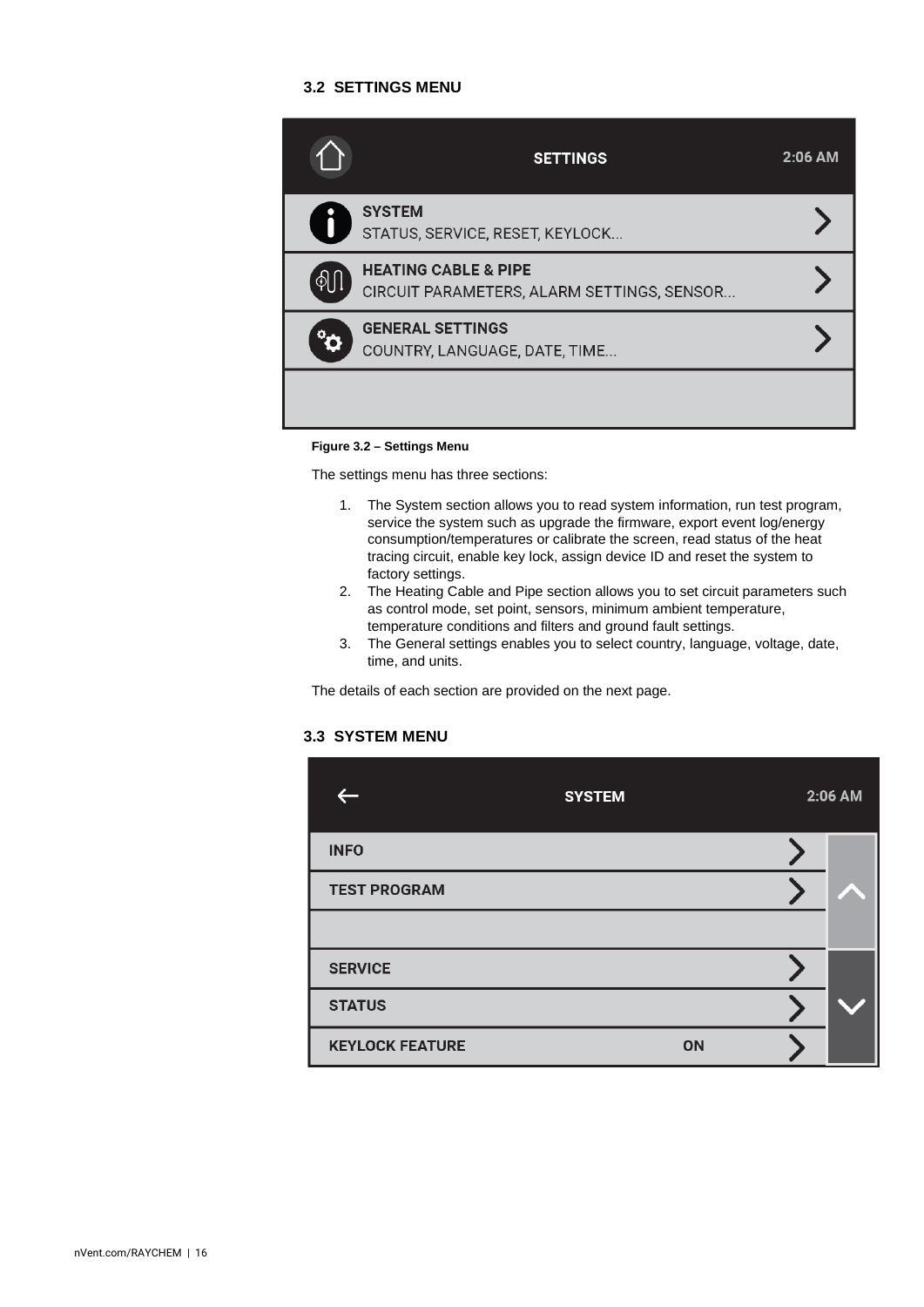## **3.2 SETTINGS MENU**

<span id="page-16-0"></span>

|                | <b>SETTINGS</b>                                                               | $2:06$ AM |
|----------------|-------------------------------------------------------------------------------|-----------|
| $\blacksquare$ | <b>SYSTEM</b><br>STATUS, SERVICE, RESET, KEYLOCK                              |           |
|                | <b>HEATING CABLE &amp; PIPE</b><br>CIRCUIT PARAMETERS, ALARM SETTINGS, SENSOR |           |
|                | <b>GENERAL SETTINGS</b><br>COUNTRY, LANGUAGE, DATE, TIME                      |           |
|                |                                                                               |           |

#### **Figure 3.2 – Settings Menu**

The settings menu has three sections:

- 1. The System section allows you to read system information, run test program, service the system such as upgrade the firmware, export event log/energy consumption/temperatures or calibrate the screen, read status of the heat tracing circuit, enable key lock, assign device ID and reset the system to factory settings.
- 2. The Heating Cable and Pipe section allows you to set circuit parameters such as control mode, set point, sensors, minimum ambient temperature, temperature conditions and filters and ground fault settings.
- 3. The General settings enables you to select country, language, voltage, date, time, and units.

The details of each section are provided on the next page.

## <span id="page-16-1"></span>**3.3 SYSTEM MENU**

|                        | <b>SYSTEM</b> |    | 2:06 AM |
|------------------------|---------------|----|---------|
| <b>INFO</b>            |               |    |         |
| <b>TEST PROGRAM</b>    |               |    |         |
|                        |               |    |         |
| <b>SERVICE</b>         |               |    |         |
| <b>STATUS</b>          |               |    |         |
| <b>KEYLOCK FEATURE</b> |               | ON |         |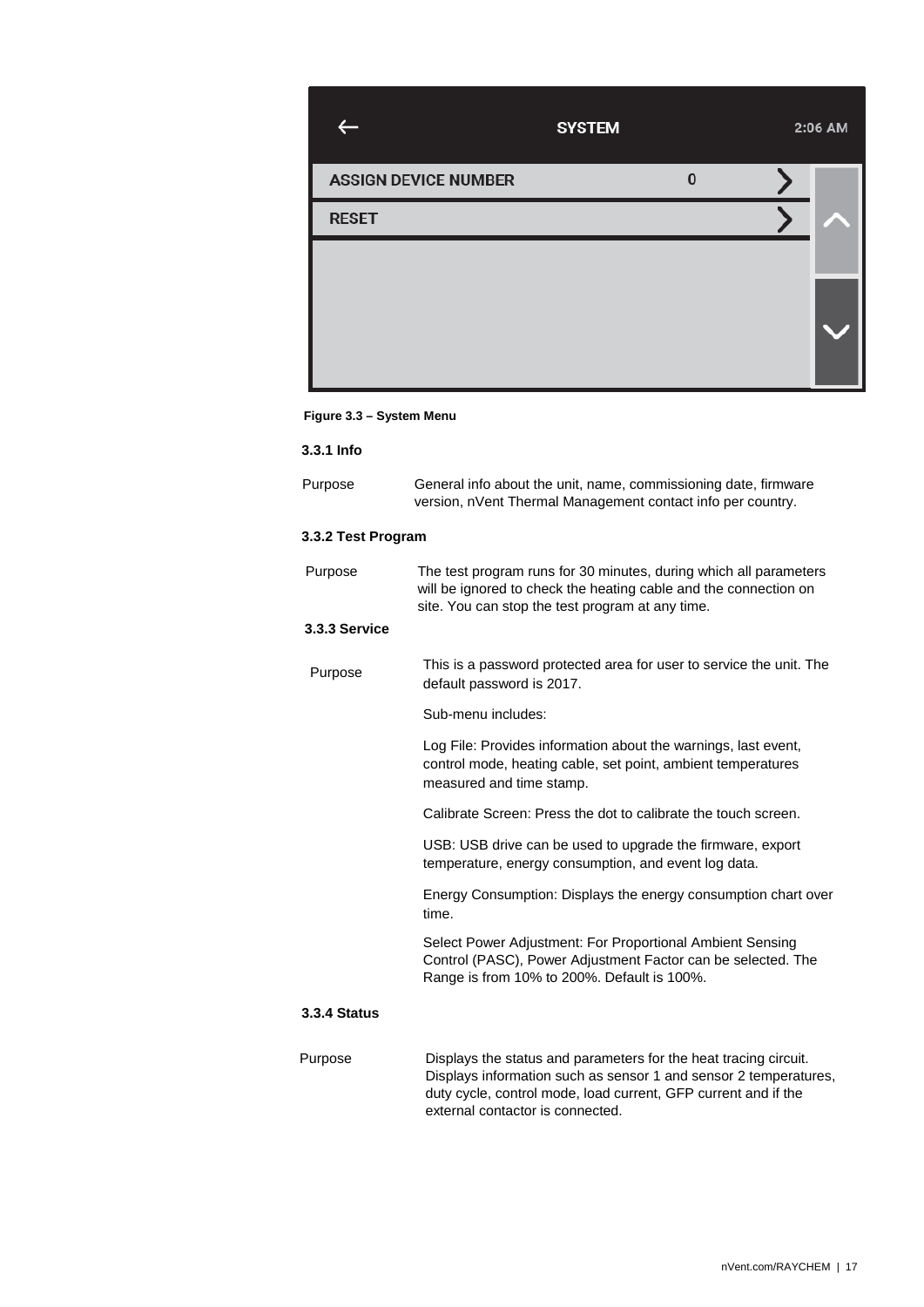|                             | <b>SYSTEM</b> |          | 2:06 AM |
|-----------------------------|---------------|----------|---------|
| <b>ASSIGN DEVICE NUMBER</b> |               | $\bf{0}$ |         |
| <b>RESET</b>                |               |          |         |
|                             |               |          |         |
|                             |               |          |         |

#### **Figure 3.3 – System Menu**

<span id="page-17-0"></span>**3.3.1 Info**

| Purpose | General info about the unit, name, commissioning date, firmware |
|---------|-----------------------------------------------------------------|
|         | version, nVent Thermal Management contact info per country.     |

## <span id="page-17-1"></span>**3.3.2 Test Program**

<span id="page-17-2"></span>

| Purpose             | The test program runs for 30 minutes, during which all parameters<br>will be ignored to check the heating cable and the connection on<br>site. You can stop the test program at any time. |
|---------------------|-------------------------------------------------------------------------------------------------------------------------------------------------------------------------------------------|
| 3.3.3 Service       |                                                                                                                                                                                           |
| Purpose             | This is a password protected area for user to service the unit. The<br>default password is 2017.                                                                                          |
|                     | Sub-menu includes:                                                                                                                                                                        |
|                     | Log File: Provides information about the warnings, last event,<br>control mode, heating cable, set point, ambient temperatures<br>measured and time stamp.                                |
|                     | Calibrate Screen: Press the dot to calibrate the touch screen.                                                                                                                            |
|                     | USB: USB drive can be used to upgrade the firmware, export<br>temperature, energy consumption, and event log data.                                                                        |
|                     | Energy Consumption: Displays the energy consumption chart over<br>time.                                                                                                                   |
|                     | Select Power Adjustment: For Proportional Ambient Sensing<br>Control (PASC), Power Adjustment Factor can be selected. The<br>Range is from 10% to 200%. Default is 100%.                  |
| <b>3.3.4 Status</b> |                                                                                                                                                                                           |
| Purpose             | Displays the status and parameters for the heat tracing circuit.<br>Displays information such as sensor 1 and sensor 2 temperatures,                                                      |

<span id="page-17-3"></span>duty cycle, control mode, load current, GFP current and if the

external contactor is connected.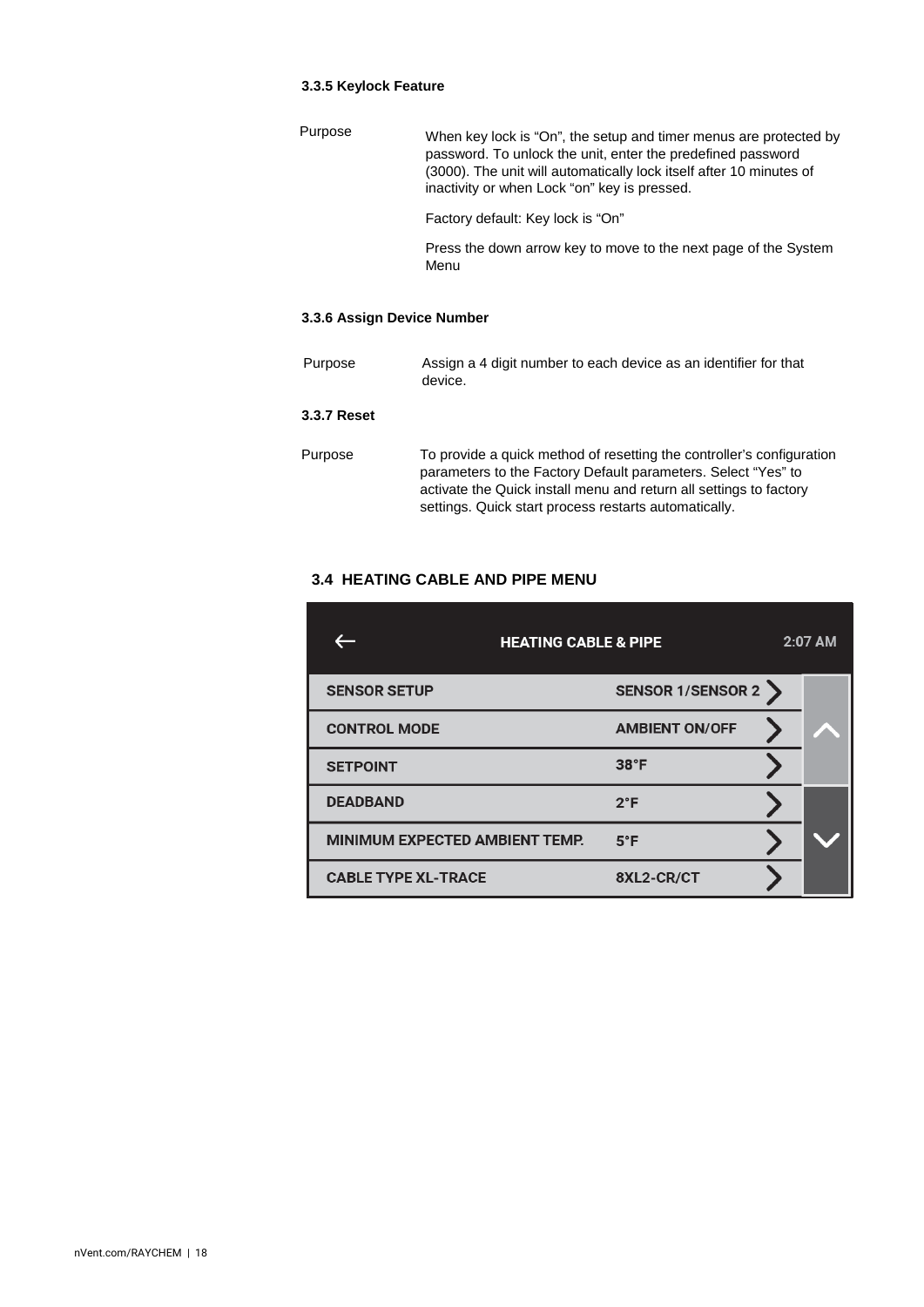## <span id="page-18-0"></span>**3.3.5 Keylock Feature**

| Purpose | When key lock is "On", the setup and timer menus are protected by<br>password. To unlock the unit, enter the predefined password<br>(3000). The unit will automatically lock itself after 10 minutes of<br>inactivity or when Lock "on" key is pressed. |
|---------|---------------------------------------------------------------------------------------------------------------------------------------------------------------------------------------------------------------------------------------------------------|
|         | Factory default: Key lock is "On"                                                                                                                                                                                                                       |
|         | Press the down arrow key to move to the next page of the System<br>Menu                                                                                                                                                                                 |
|         |                                                                                                                                                                                                                                                         |

# <span id="page-18-1"></span>**3.3.6 Assign Device Number**

<span id="page-18-2"></span>

| Purpose            | Assign a 4 digit number to each device as an identifier for that<br>device.                                                                                                                                                                                           |
|--------------------|-----------------------------------------------------------------------------------------------------------------------------------------------------------------------------------------------------------------------------------------------------------------------|
| <b>3.3.7 Reset</b> |                                                                                                                                                                                                                                                                       |
| Purpose            | To provide a quick method of resetting the controller's configuration<br>parameters to the Factory Default parameters. Select "Yes" to<br>activate the Quick install menu and return all settings to factory<br>settings. Quick start process restarts automatically. |

# <span id="page-18-3"></span>**3.4 HEATING CABLE AND PIPE MENU**

|                                       | <b>HEATING CABLE &amp; PIPE</b> | 2:07 AM |
|---------------------------------------|---------------------------------|---------|
| <b>SENSOR SETUP</b>                   | SENSOR 1/SENSOR 2               |         |
| <b>CONTROL MODE</b>                   | <b>AMBIENT ON/OFF</b>           |         |
| <b>SETPOINT</b>                       | 38°F                            |         |
| <b>DEADBAND</b>                       | $2^{\circ}F$                    |         |
| <b>MINIMUM EXPECTED AMBIENT TEMP.</b> | $5^{\circ}$ F                   |         |
| <b>CABLE TYPE XL-TRACE</b>            | 8XL2-CR/CT                      |         |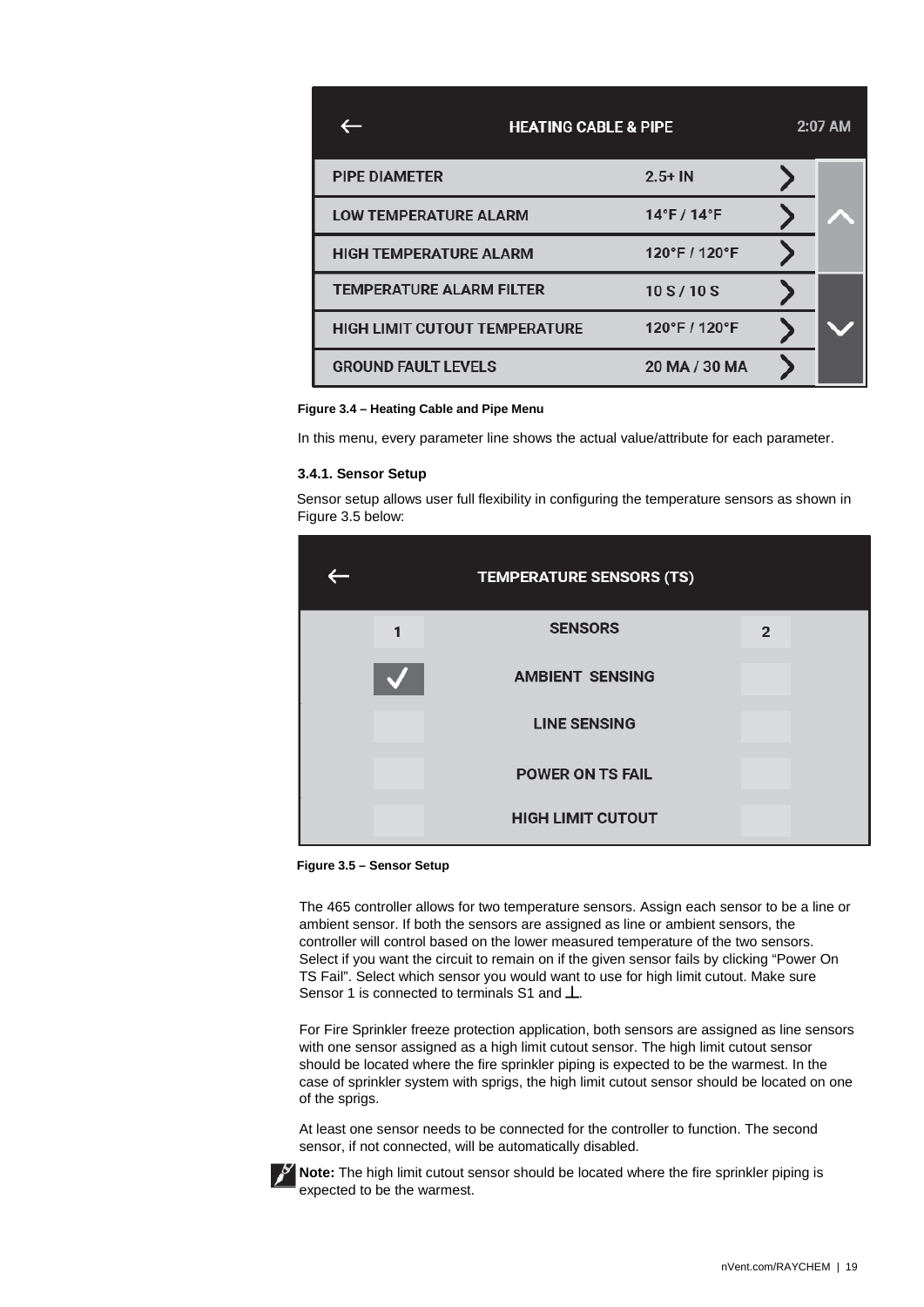|                                      | <b>HEATING CABLE &amp; PIPE</b> | 2:07 AM |
|--------------------------------------|---------------------------------|---------|
| <b>PIPE DIAMETER</b>                 | $2.5 + IN$                      |         |
| <b>LOW TEMPERATURE ALARM</b>         | $14^{\circ}$ F / $14^{\circ}$ F |         |
| <b>HIGH TEMPERATURE ALARM</b>        | 120°F / 120°F                   |         |
| <b>TEMPERATURE ALARM FILTER</b>      | 10S/10S                         |         |
| <b>HIGH LIMIT CUTOUT TEMPERATURE</b> | 120°F / 120°F                   |         |
| <b>GROUND FAULT LEVELS</b>           | 20 MA / 30 MA                   |         |

#### **Figure 3.4 – Heating Cable and Pipe Menu**

<span id="page-19-0"></span>In this menu, every parameter line shows the actual value/attribute for each parameter.

#### **3.4.1. Sensor Setup**

Sensor setup allows user full flexibility in configuring the temperature sensors as shown in Figure 3.5 below:

|  | <b>TEMPERATURE SENSORS (TS)</b> |                |  |
|--|---------------------------------|----------------|--|
|  | <b>SENSORS</b>                  | $\mathfrak{p}$ |  |
|  | <b>AMBIENT SENSING</b>          |                |  |
|  | <b>LINE SENSING</b>             |                |  |
|  | <b>POWER ON TS FAIL</b>         |                |  |
|  | <b>HIGH LIMIT CUTOUT</b>        |                |  |

**Figure 3.5 – Sensor Setup**

The 465 controller allows for two temperature sensors. Assign each sensor to be a line or ambient sensor. If both the sensors are assigned as line or ambient sensors, the controller will control based on the lower measured temperature of the two sensors. Select if you want the circuit to remain on if the given sensor fails by clicking "Power On TS Fail". Select which sensor you would want to use for high limit cutout. Make sure Sensor 1 is connected to terminals S1 and  $\perp$ .

For Fire Sprinkler freeze protection application, both sensors are assigned as line sensors with one sensor assigned as a high limit cutout sensor. The high limit cutout sensor should be located where the fire sprinkler piping is expected to be the warmest. In the case of sprinkler system with sprigs, the high limit cutout sensor should be located on one of the sprigs.

At least one sensor needs to be connected for the controller to function. The second sensor, if not connected, will be automatically disabled.



**Note:** The high limit cutout sensor should be located where the fire sprinkler piping is expected to be the warmest.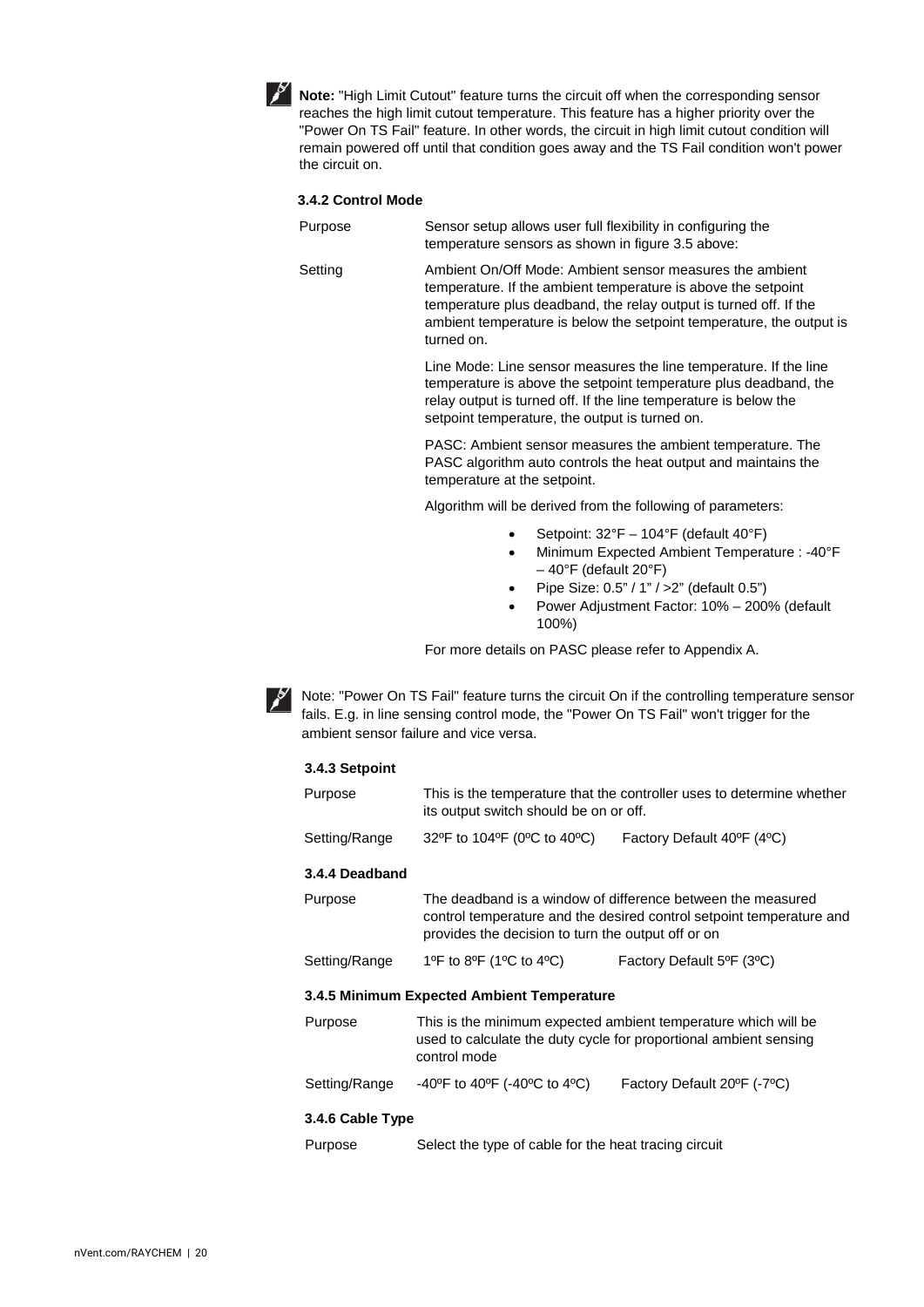

**Note:** "High Limit Cutout" feature turns the circuit off when the corresponding sensor reaches the high limit cutout temperature. This feature has a higher priority over the "Power On TS Fail" feature. In other words, the circuit in high limit cutout condition will remain powered off until that condition goes away and the TS Fail condition won't power the circuit on.

#### <span id="page-20-0"></span>**3.4.2 Control Mode**

- Purpose Sensor setup allows user full flexibility in configuring the temperature sensors as shown in figure 3.5 above:
- Setting Ambient On/Off Mode: Ambient sensor measures the ambient temperature. If the ambient temperature is above the setpoint temperature plus deadband, the relay output is turned off. If the ambient temperature is below the setpoint temperature, the output is turned on.

Line Mode: Line sensor measures the line temperature. If the line temperature is above the setpoint temperature plus deadband, the relay output is turned off. If the line temperature is below the setpoint temperature, the output is turned on.

PASC: Ambient sensor measures the ambient temperature. The PASC algorithm auto controls the heat output and maintains the temperature at the setpoint.

Algorithm will be derived from the following of parameters:

- Setpoint: 32°F 104°F (default 40°F)
- Minimum Expected Ambient Temperature : -40°F – 40°F (default 20°F)
- Pipe Size:  $0.5" / 1" / > 2"$  (default  $0.5"$ )
- Power Adjustment Factor: 10% 200% (default 100%)

For more details on PASC please refer to Appendix A.

<span id="page-20-1"></span>

Note: "Power On TS Fail" feature turns the circuit On if the controlling temperature sensor fails. E.g. in line sensing control mode, the "Power On TS Fail" won't trigger for the ambient sensor failure and vice versa.

#### **3.4.3 Setpoint**

<span id="page-20-4"></span><span id="page-20-3"></span><span id="page-20-2"></span>

| Purpose          | This is the temperature that the controller uses to determine whether<br>its output switch should be on or off.                                                                           |                            |  |
|------------------|-------------------------------------------------------------------------------------------------------------------------------------------------------------------------------------------|----------------------------|--|
| Setting/Range    | 32°F to 104°F (0°C to 40°C)                                                                                                                                                               | Factory Default 40°F (4°C) |  |
| 3.4.4 Deadband   |                                                                                                                                                                                           |                            |  |
| Purpose          | The deadband is a window of difference between the measured<br>control temperature and the desired control setpoint temperature and<br>provides the decision to turn the output off or on |                            |  |
| Setting/Range    | 1ºF to 8ºF (1ºC to 4ºC)<br>Factory Default 5°F (3°C)                                                                                                                                      |                            |  |
|                  | 3.4.5 Minimum Expected Ambient Temperature                                                                                                                                                |                            |  |
| Purpose          | This is the minimum expected ambient temperature which will be<br>used to calculate the duty cycle for proportional ambient sensing<br>control mode                                       |                            |  |
| Setting/Range    | -40°F to 40°F (-40°C to 4°C)<br>Factory Default 20°F (-7°C)                                                                                                                               |                            |  |
| 3.4.6 Cable Type |                                                                                                                                                                                           |                            |  |
| Purpose          | Select the type of cable for the heat tracing circuit                                                                                                                                     |                            |  |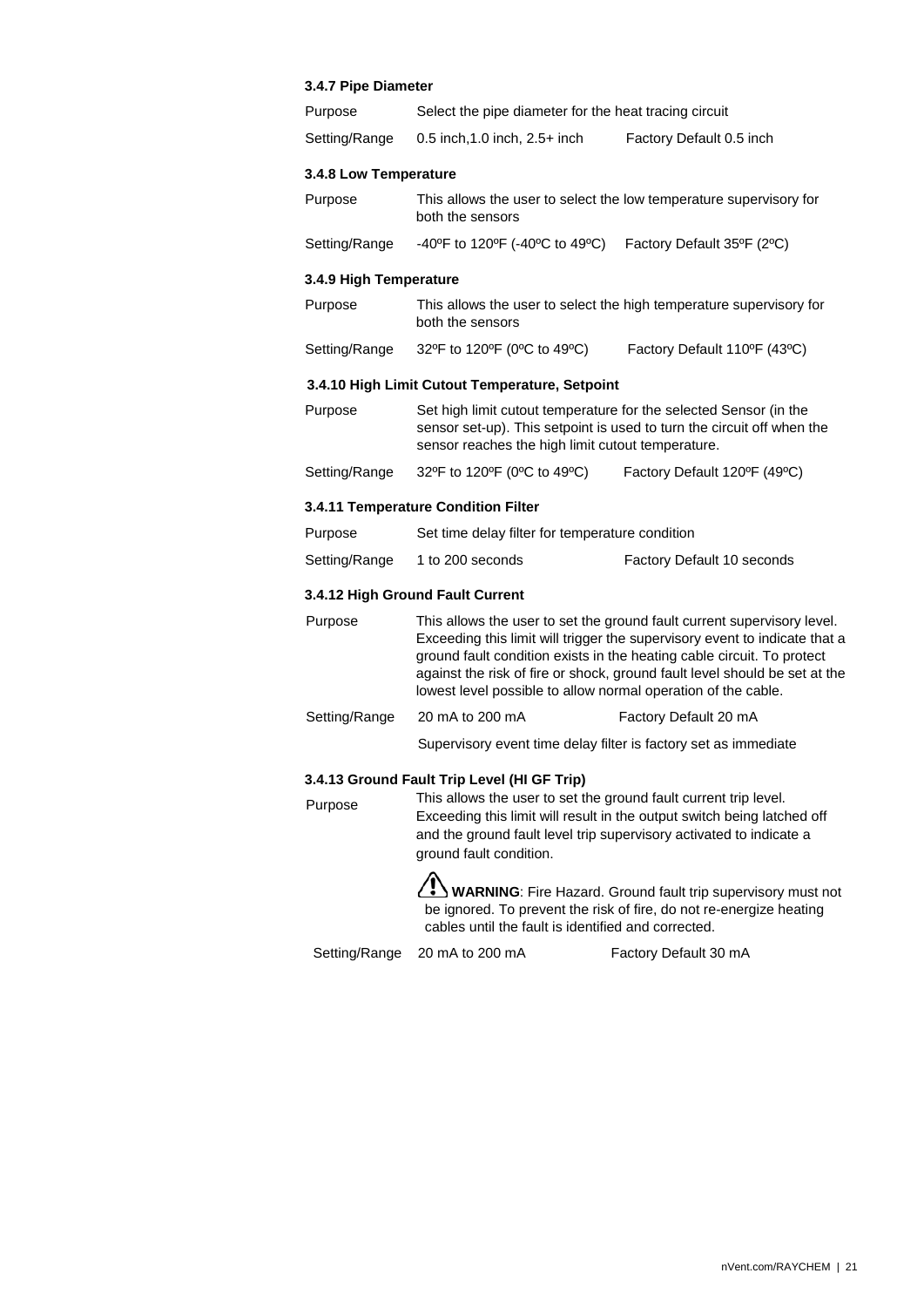## **3.4.7 Pipe Diameter**

<span id="page-21-4"></span><span id="page-21-3"></span><span id="page-21-2"></span><span id="page-21-1"></span><span id="page-21-0"></span>

| Purpose                | Select the pipe diameter for the heat tracing circuit                                                                                                                                                                                                                                                                                                                          |                                                                                                                                         |  |
|------------------------|--------------------------------------------------------------------------------------------------------------------------------------------------------------------------------------------------------------------------------------------------------------------------------------------------------------------------------------------------------------------------------|-----------------------------------------------------------------------------------------------------------------------------------------|--|
| Setting/Range          | 0.5 inch, 1.0 inch, 2.5+ inch                                                                                                                                                                                                                                                                                                                                                  | Factory Default 0.5 inch                                                                                                                |  |
| 3.4.8 Low Temperature  |                                                                                                                                                                                                                                                                                                                                                                                |                                                                                                                                         |  |
| Purpose                | This allows the user to select the low temperature supervisory for<br>both the sensors                                                                                                                                                                                                                                                                                         |                                                                                                                                         |  |
| Setting/Range          | -40°F to 120°F (-40°C to 49°C) Factory Default 35°F (2°C)                                                                                                                                                                                                                                                                                                                      |                                                                                                                                         |  |
| 3.4.9 High Temperature |                                                                                                                                                                                                                                                                                                                                                                                |                                                                                                                                         |  |
| Purpose                | both the sensors                                                                                                                                                                                                                                                                                                                                                               | This allows the user to select the high temperature supervisory for                                                                     |  |
| Setting/Range          | 32°F to 120°F (0°C to 49°C)                                                                                                                                                                                                                                                                                                                                                    | Factory Default 110°F (43°C)                                                                                                            |  |
|                        | 3.4.10 High Limit Cutout Temperature, Setpoint                                                                                                                                                                                                                                                                                                                                 |                                                                                                                                         |  |
| Purpose                | Set high limit cutout temperature for the selected Sensor (in the<br>sensor set-up). This setpoint is used to turn the circuit off when the<br>sensor reaches the high limit cutout temperature.                                                                                                                                                                               |                                                                                                                                         |  |
| Setting/Range          | 32°F to 120°F (0°C to 49°C)                                                                                                                                                                                                                                                                                                                                                    | Factory Default 120°F (49°C)                                                                                                            |  |
|                        | 3.4.11 Temperature Condition Filter                                                                                                                                                                                                                                                                                                                                            |                                                                                                                                         |  |
| Purpose                | Set time delay filter for temperature condition                                                                                                                                                                                                                                                                                                                                |                                                                                                                                         |  |
| Setting/Range          | 1 to 200 seconds                                                                                                                                                                                                                                                                                                                                                               | Factory Default 10 seconds                                                                                                              |  |
|                        | 3.4.12 High Ground Fault Current                                                                                                                                                                                                                                                                                                                                               |                                                                                                                                         |  |
| Purpose                | This allows the user to set the ground fault current supervisory level.<br>Exceeding this limit will trigger the supervisory event to indicate that a<br>ground fault condition exists in the heating cable circuit. To protect<br>against the risk of fire or shock, ground fault level should be set at the<br>lowest level possible to allow normal operation of the cable. |                                                                                                                                         |  |
| Setting/Range          | 20 mA to 200 mA                                                                                                                                                                                                                                                                                                                                                                | Factory Default 20 mA                                                                                                                   |  |
|                        | Supervisory event time delay filter is factory set as immediate                                                                                                                                                                                                                                                                                                                |                                                                                                                                         |  |
| Purpose                | 3.4.13 Ground Fault Trip Level (HI GF Trip)<br>This allows the user to set the ground fault current trip level.<br>and the ground fault level trip supervisory activated to indicate a<br>ground fault condition.                                                                                                                                                              | Exceeding this limit will result in the output switch being latched off<br>WARNING: Fire Hazard. Ground fault trip supervisory must not |  |
|                        | cables until the fault is identified and corrected.                                                                                                                                                                                                                                                                                                                            | be ignored. To prevent the risk of fire, do not re-energize heating                                                                     |  |

<span id="page-21-6"></span><span id="page-21-5"></span>Setting/Range 20 mA to 200 mA Factory Default 30 mA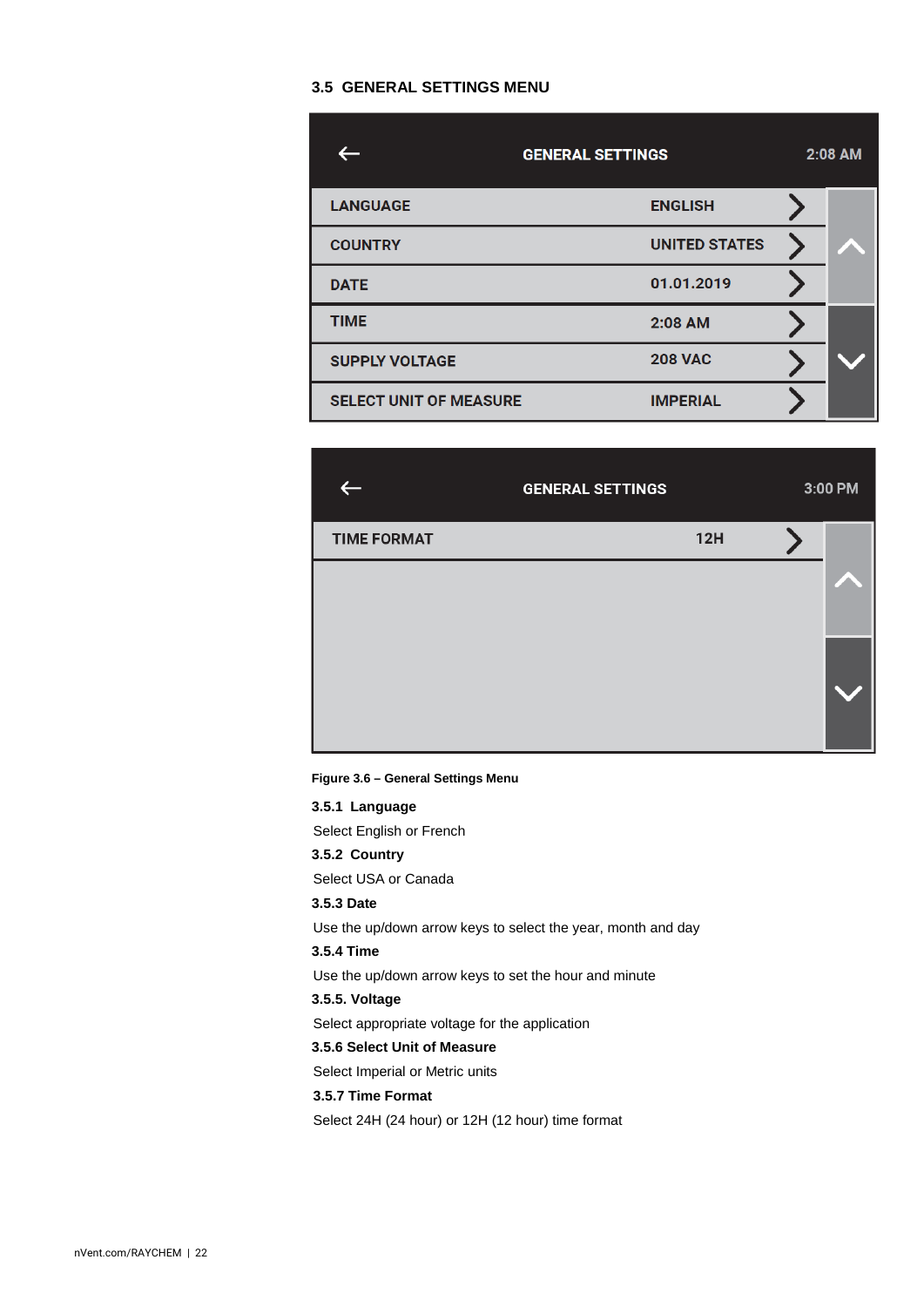# <span id="page-22-0"></span>**3.5 GENERAL SETTINGS MENU**

|                               | <b>GENERAL SETTINGS</b> |  | $2:08$ AM |
|-------------------------------|-------------------------|--|-----------|
| <b>LANGUAGE</b>               | <b>ENGLISH</b>          |  |           |
| <b>COUNTRY</b>                | <b>UNITED STATES</b>    |  |           |
| <b>DATE</b>                   | 01.01.2019              |  |           |
| <b>TIME</b>                   | 2:08 AM                 |  |           |
| <b>SUPPLY VOLTAGE</b>         | <b>208 VAC</b>          |  |           |
| <b>SELECT UNIT OF MEASURE</b> | <b>IMPERIAL</b>         |  |           |

|                    | <b>GENERAL SETTINGS</b> |     | 3:00 PM |
|--------------------|-------------------------|-----|---------|
| <b>TIME FORMAT</b> |                         | 12H |         |
|                    |                         |     |         |
|                    |                         |     |         |

**Figure 3.6 – General Settings Menu** 

<span id="page-22-6"></span><span id="page-22-5"></span><span id="page-22-4"></span><span id="page-22-3"></span><span id="page-22-2"></span><span id="page-22-1"></span>**3.5.1 Language** Select English or French **3.5.2 Country** Select USA or Canada **3.5.3 Date** Use the up/down arrow keys to select the year, month and day **3.5.4 Time**  Use the up/down arrow keys to set the hour and minute **3.5.5. Voltage** Select appropriate voltage for the application **3.5.6 Select Unit of Measure** Select Imperial or Metric units **3.5.7 Time Format** Select 24H (24 hour) or 12H (12 hour) time format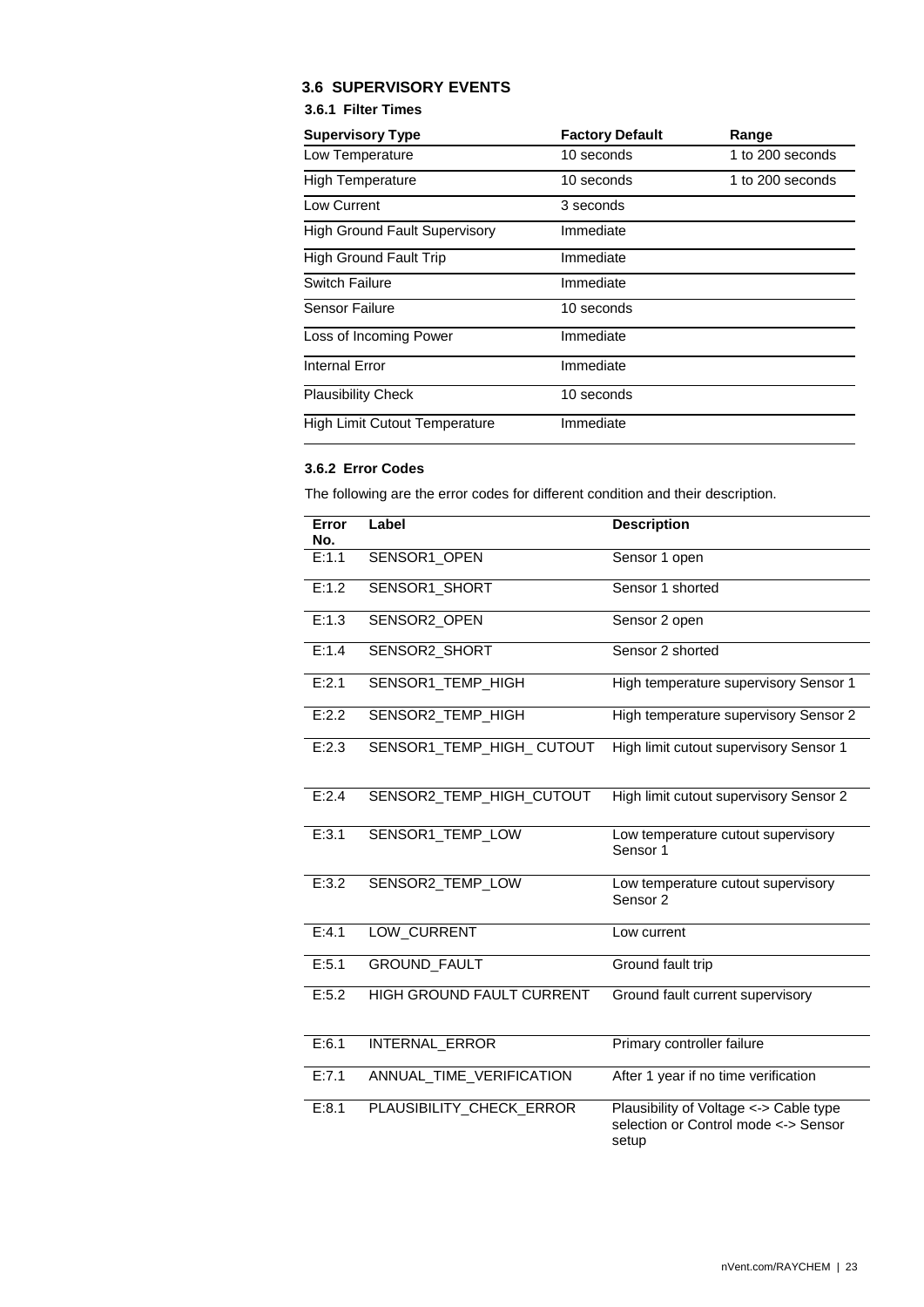# <span id="page-23-0"></span>**3.6 SUPERVISORY EVENTS**

## **3.6.1 Filter Times**

<span id="page-23-1"></span>

| <b>Supervisory Type</b>              | <b>Factory Default</b> | Range            |
|--------------------------------------|------------------------|------------------|
| Low Temperature                      | 10 seconds             | 1 to 200 seconds |
| <b>High Temperature</b>              | 10 seconds             | 1 to 200 seconds |
| Low Current                          | 3 seconds              |                  |
| <b>High Ground Fault Supervisory</b> | Immediate              |                  |
| High Ground Fault Trip               | Immediate              |                  |
| Switch Failure                       | Immediate              |                  |
| Sensor Failure                       | 10 seconds             |                  |
| Loss of Incoming Power               | Immediate              |                  |
| <b>Internal Error</b>                | Immediate              |                  |
| <b>Plausibility Check</b>            | 10 seconds             |                  |
| <b>High Limit Cutout Temperature</b> | Immediate              |                  |

## <span id="page-23-2"></span>**3.6.2 Error Codes**

The following are the error codes for different condition and their description.

| Error<br>No.       | Label                            | <b>Description</b>                                                                      |
|--------------------|----------------------------------|-----------------------------------------------------------------------------------------|
| E:1.1              | SENSOR1_OPEN                     | Sensor 1 open                                                                           |
| E:1.2              | SENSOR1_SHORT                    | Sensor 1 shorted                                                                        |
| E:1.3              | SENSOR2_OPEN                     | Sensor 2 open                                                                           |
| E:1.4              | SENSOR2_SHORT                    | Sensor 2 shorted                                                                        |
| E:2.1              | SENSOR1_TEMP_HIGH                | High temperature supervisory Sensor 1                                                   |
| E:2.2              | SENSOR2_TEMP_HIGH                | High temperature supervisory Sensor 2                                                   |
| E:2.3              | SENSOR1_TEMP_HIGH_CUTOUT         | High limit cutout supervisory Sensor 1                                                  |
| $E:2.\overline{4}$ | SENSOR2_TEMP_HIGH_CUTOUT         | High limit cutout supervisory Sensor 2                                                  |
| E:3.1              | SENSOR1_TEMP_LOW                 | Low temperature cutout supervisory<br>Sensor 1                                          |
| E:3.2              | SENSOR2_TEMP_LOW                 | Low temperature cutout supervisory<br>Sensor <sub>2</sub>                               |
| E:4.1              | LOW_CURRENT                      | Low current                                                                             |
| E:5.1              | <b>GROUND_FAULT</b>              | Ground fault trip                                                                       |
| E:5.2              | <b>HIGH GROUND FAULT CURRENT</b> | Ground fault current supervisory                                                        |
| E:6.1              | INTERNAL_ERROR                   | Primary controller failure                                                              |
| E:7.1              | ANNUAL_TIME_VERIFICATION         | After 1 year if no time verification                                                    |
| E:8.1              | PLAUSIBILITY_CHECK_ERROR         | Plausibility of Voltage <-> Cable type<br>selection or Control mode <-> Sensor<br>setup |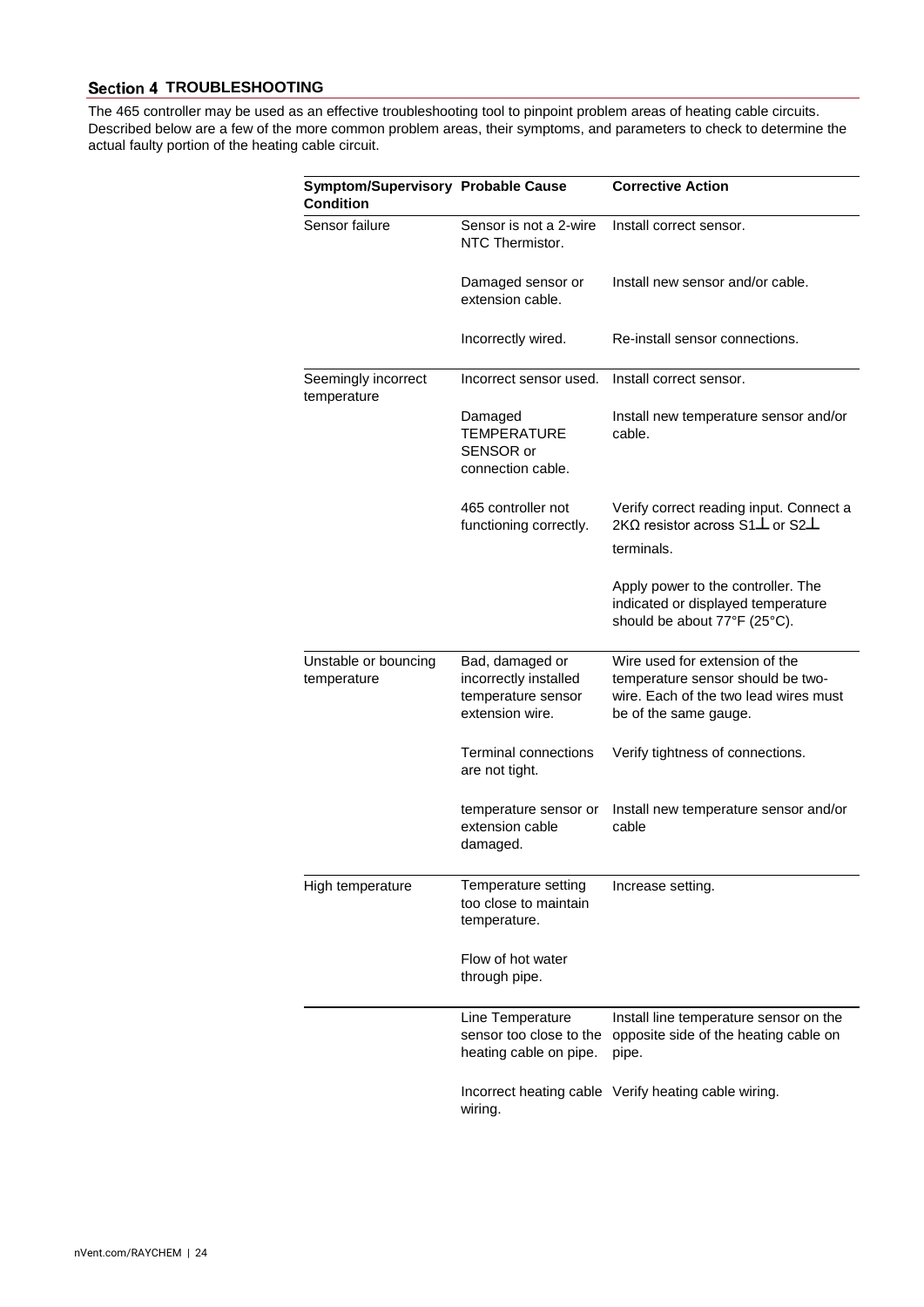# <span id="page-24-0"></span>**Section 4 TROUBLESHOOTING**

The 465 controller may be used as an effective troubleshooting tool to pinpoint problem areas of heating cable circuits. Described below are a few of the more common problem areas, their symptoms, and parameters to check to determine the actual faulty portion of the heating cable circuit.

| <b>Symptom/Supervisory Probable Cause</b><br><b>Condition</b> |                                                                                   | <b>Corrective Action</b>                                                                                                              |
|---------------------------------------------------------------|-----------------------------------------------------------------------------------|---------------------------------------------------------------------------------------------------------------------------------------|
| Sensor failure                                                | Sensor is not a 2-wire<br>NTC Thermistor.                                         | Install correct sensor.                                                                                                               |
|                                                               | Damaged sensor or<br>extension cable.                                             | Install new sensor and/or cable.                                                                                                      |
|                                                               | Incorrectly wired.                                                                | Re-install sensor connections.                                                                                                        |
| Seemingly incorrect<br>temperature                            | Incorrect sensor used.                                                            | Install correct sensor.                                                                                                               |
|                                                               | Damaged<br><b>TEMPERATURE</b><br>SENSOR or<br>connection cable.                   | Install new temperature sensor and/or<br>cable.                                                                                       |
|                                                               | 465 controller not<br>functioning correctly.                                      | Verify correct reading input. Connect a<br>2K $\Omega$ resistor across S1 $\perp$ or S2 $\perp$                                       |
|                                                               |                                                                                   | terminals.                                                                                                                            |
|                                                               |                                                                                   | Apply power to the controller. The<br>indicated or displayed temperature<br>should be about 77°F (25°C).                              |
| Unstable or bouncing<br>temperature                           | Bad, damaged or<br>incorrectly installed<br>temperature sensor<br>extension wire. | Wire used for extension of the<br>temperature sensor should be two-<br>wire. Each of the two lead wires must<br>be of the same gauge. |
|                                                               | <b>Terminal connections</b><br>are not tight.                                     | Verify tightness of connections.                                                                                                      |
|                                                               | temperature sensor or<br>extension cable<br>damaged.                              | Install new temperature sensor and/or<br>cable                                                                                        |
| High temperature                                              | Temperature setting<br>too close to maintain<br>temperature.                      | Increase setting.                                                                                                                     |
|                                                               | Flow of hot water<br>through pipe.                                                |                                                                                                                                       |
|                                                               | Line Temperature<br>sensor too close to the<br>heating cable on pipe.             | Install line temperature sensor on the<br>opposite side of the heating cable on<br>pipe.                                              |
|                                                               | wiring.                                                                           | Incorrect heating cable Verify heating cable wiring.                                                                                  |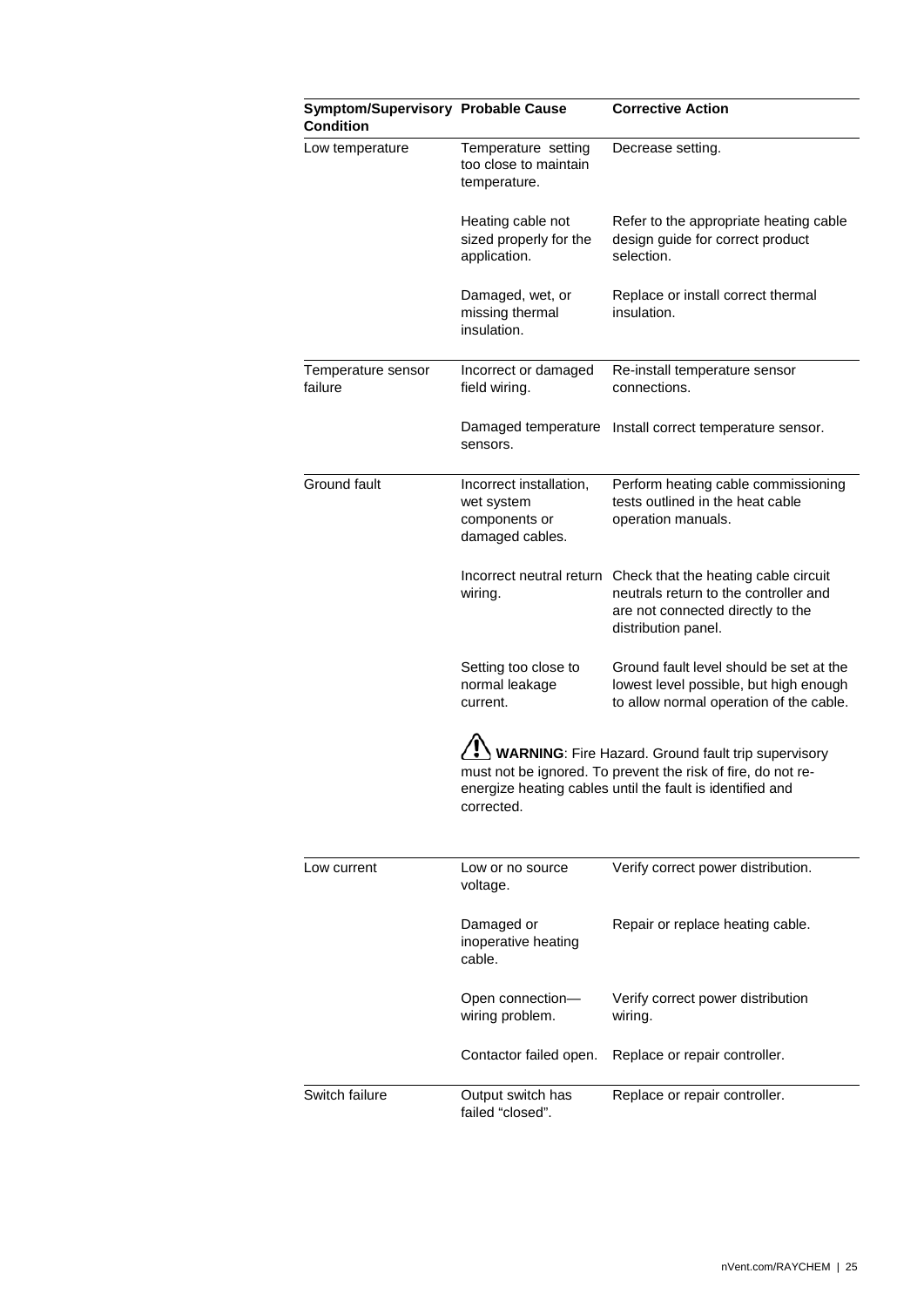| <b>Symptom/Supervisory Probable Cause</b><br>Condition |                                                                           | <b>Corrective Action</b>                                                                                                                                                         |
|--------------------------------------------------------|---------------------------------------------------------------------------|----------------------------------------------------------------------------------------------------------------------------------------------------------------------------------|
| Low temperature                                        | Temperature setting<br>too close to maintain<br>temperature.              | Decrease setting.                                                                                                                                                                |
|                                                        | Heating cable not<br>sized properly for the<br>application.               | Refer to the appropriate heating cable<br>design guide for correct product<br>selection.                                                                                         |
|                                                        | Damaged, wet, or<br>missing thermal<br>insulation.                        | Replace or install correct thermal<br>insulation.                                                                                                                                |
| Temperature sensor<br>failure                          | Incorrect or damaged<br>field wiring.                                     | Re-install temperature sensor<br>connections.                                                                                                                                    |
|                                                        | Damaged temperature<br>sensors.                                           | Install correct temperature sensor.                                                                                                                                              |
| Ground fault                                           | Incorrect installation,<br>wet system<br>components or<br>damaged cables. | Perform heating cable commissioning<br>tests outlined in the heat cable<br>operation manuals.                                                                                    |
|                                                        | wiring.                                                                   | Incorrect neutral return Check that the heating cable circuit<br>neutrals return to the controller and<br>are not connected directly to the<br>distribution panel.               |
|                                                        | Setting too close to<br>normal leakage<br>current.                        | Ground fault level should be set at the<br>lowest level possible, but high enough<br>to allow normal operation of the cable.                                                     |
|                                                        | corrected.                                                                | WARNING: Fire Hazard. Ground fault trip supervisory<br>must not be ignored. To prevent the risk of fire, do not re-<br>energize heating cables until the fault is identified and |
| Low current                                            | Low or no source                                                          | Verify correct power distribution.                                                                                                                                               |
|                                                        | voltage.<br>Damaged or<br>inoperative heating<br>cable.                   | Repair or replace heating cable.                                                                                                                                                 |
|                                                        | Open connection-<br>wiring problem.                                       | Verify correct power distribution<br>wiring.                                                                                                                                     |
|                                                        | Contactor failed open.                                                    | Replace or repair controller.                                                                                                                                                    |
| Switch failure                                         | Output switch has<br>failed "closed".                                     | Replace or repair controller.                                                                                                                                                    |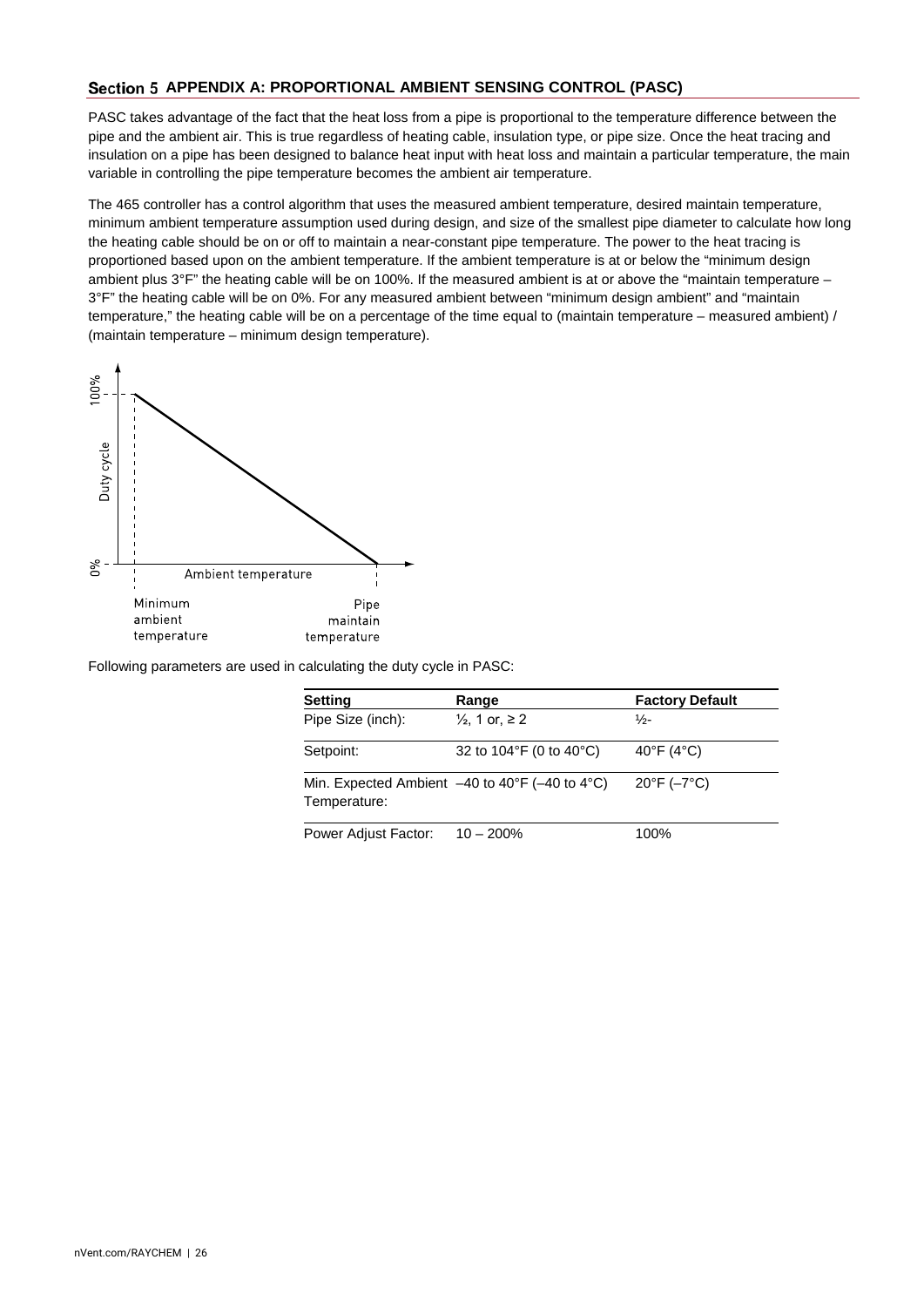# <span id="page-26-0"></span>Section 5 APPENDIX A: PROPORTIONAL AMBIENT SENSING CONTROL (PASC)

PASC takes advantage of the fact that the heat loss from a pipe is proportional to the temperature difference between the pipe and the ambient air. This is true regardless of heating cable, insulation type, or pipe size. Once the heat tracing and insulation on a pipe has been designed to balance heat input with heat loss and maintain a particular temperature, the main variable in controlling the pipe temperature becomes the ambient air temperature.

The 465 controller has a control algorithm that uses the measured ambient temperature, desired maintain temperature, minimum ambient temperature assumption used during design, and size of the smallest pipe diameter to calculate how long the heating cable should be on or off to maintain a near-constant pipe temperature. The power to the heat tracing is proportioned based upon on the ambient temperature. If the ambient temperature is at or below the "minimum design ambient plus 3°F" the heating cable will be on 100%. If the measured ambient is at or above the "maintain temperature – 3°F" the heating cable will be on 0%. For any measured ambient between "minimum design ambient" and "maintain temperature," the heating cable will be on a percentage of the time equal to (maintain temperature – measured ambient) / (maintain temperature – minimum design temperature).



Following parameters are used in calculating the duty cycle in PASC:

| <b>Setting</b>                                                                          | Range                     | <b>Factory Default</b>      |
|-----------------------------------------------------------------------------------------|---------------------------|-----------------------------|
| Pipe Size (inch):                                                                       | $\frac{1}{2}$ , 1 or, ≥ 2 | ⅓-                          |
| Setpoint:                                                                               | 32 to 104°F (0 to 40°C)   | 40°F (4°C)                  |
| Min. Expected Ambient $-40$ to $40^{\circ}$ F ( $-40$ to $4^{\circ}$ C)<br>Temperature: |                           | $20^{\circ}F (-7^{\circ}C)$ |
| Power Adjust Factor:                                                                    | $10 - 200%$               | 100%                        |